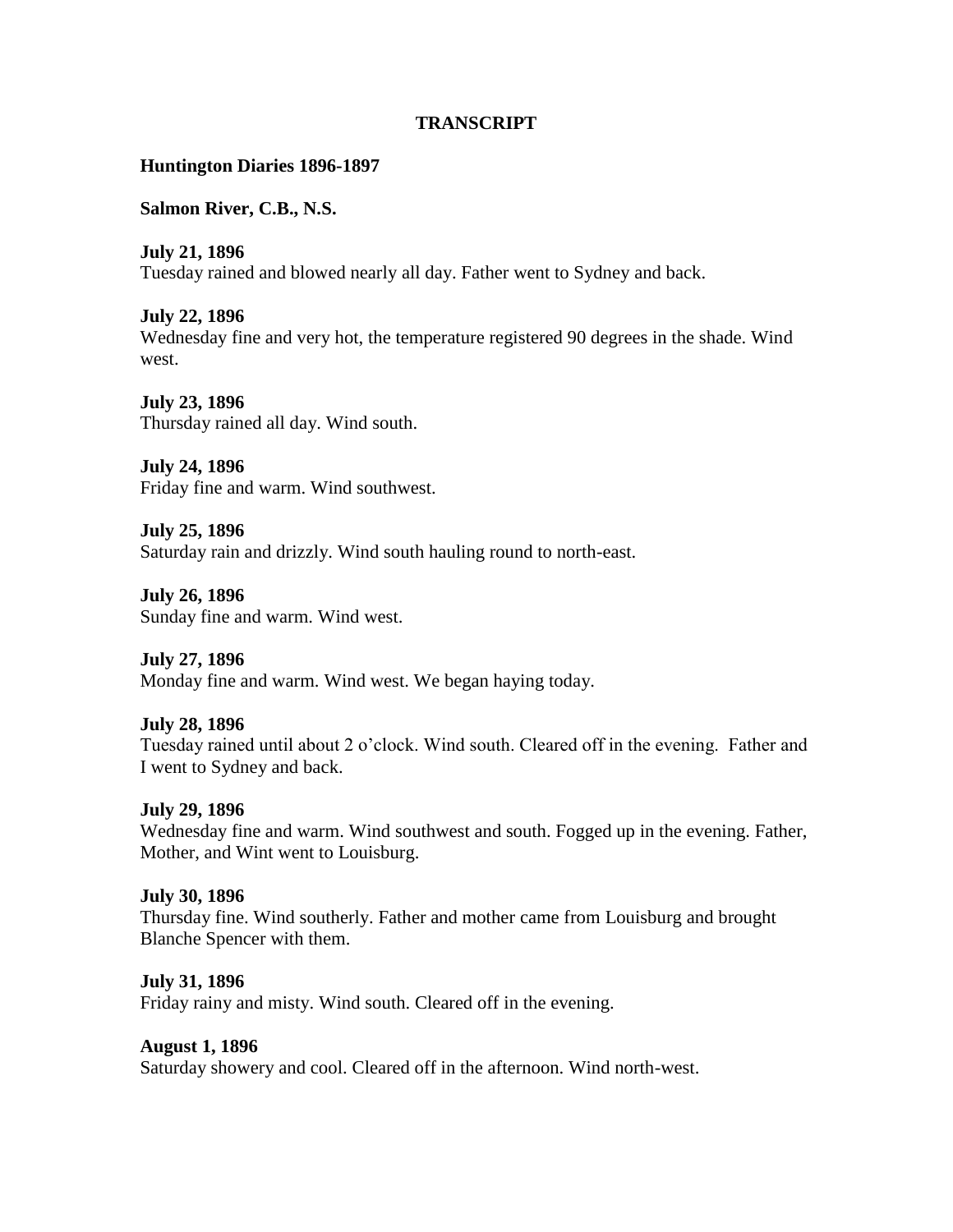## **TRANSCRIPT**

### **Huntington Diaries 1896-1897**

**Salmon River, C.B., N.S.**

**July 21, 1896** Tuesday rained and blowed nearly all day. Father went to Sydney and back.

**July 22, 1896**

Wednesday fine and very hot, the temperature registered 90 degrees in the shade. Wind west.

**July 23, 1896** Thursday rained all day. Wind south.

**July 24, 1896** Friday fine and warm. Wind southwest.

**July 25, 1896** Saturday rain and drizzly. Wind south hauling round to north-east.

**July 26, 1896** Sunday fine and warm. Wind west.

**July 27, 1896** Monday fine and warm. Wind west. We began haying today.

# **July 28, 1896**

Tuesday rained until about 2 o'clock. Wind south. Cleared off in the evening. Father and I went to Sydney and back.

#### **July 29, 1896**

Wednesday fine and warm. Wind southwest and south. Fogged up in the evening. Father, Mother, and Wint went to Louisburg.

#### **July 30, 1896**

Thursday fine. Wind southerly. Father and mother came from Louisburg and brought Blanche Spencer with them.

#### **July 31, 1896**

Friday rainy and misty. Wind south. Cleared off in the evening.

#### **August 1, 1896**

Saturday showery and cool. Cleared off in the afternoon. Wind north-west.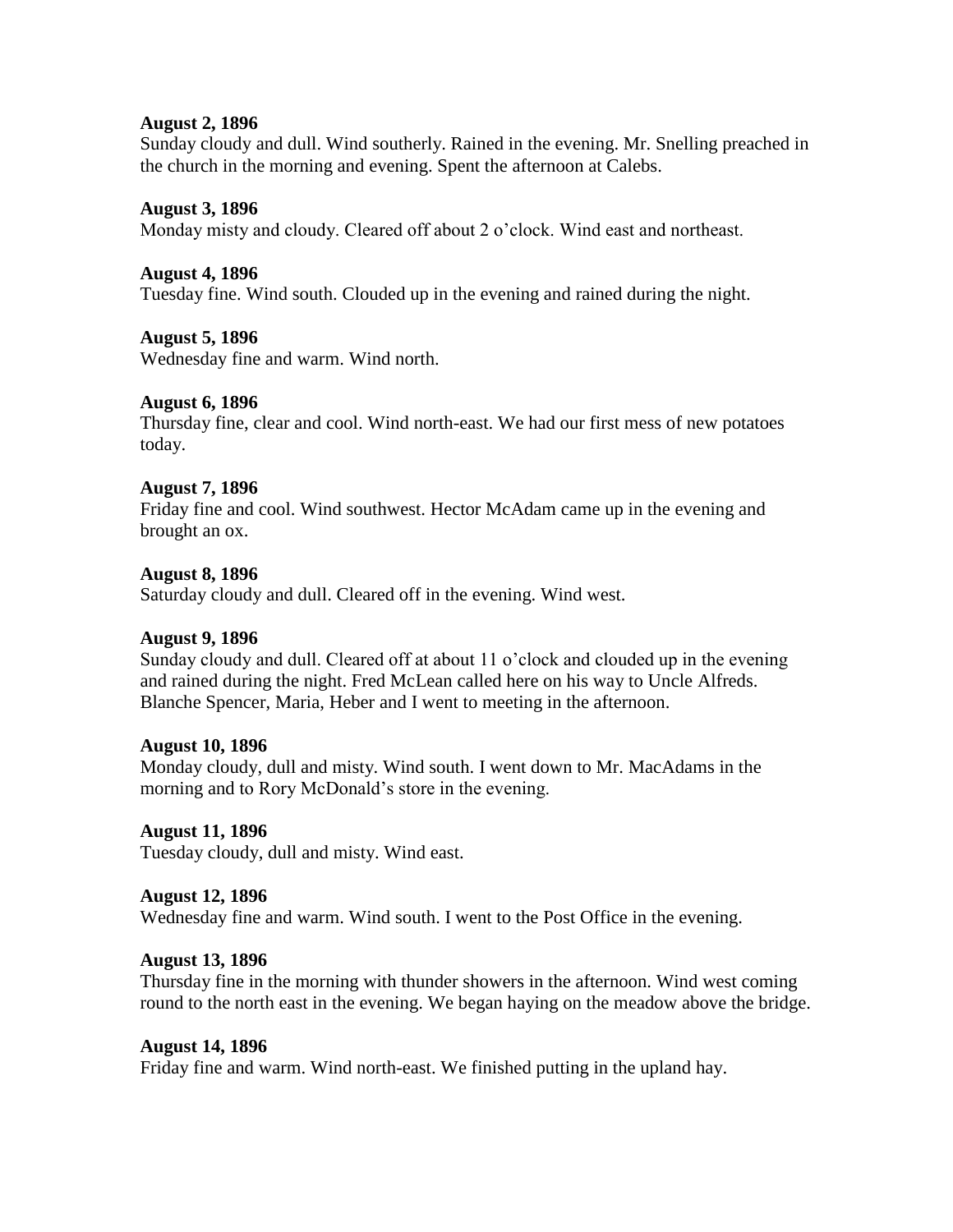#### **August 2, 1896**

Sunday cloudy and dull. Wind southerly. Rained in the evening. Mr. Snelling preached in the church in the morning and evening. Spent the afternoon at Calebs.

#### **August 3, 1896**

Monday misty and cloudy. Cleared off about 2 o'clock. Wind east and northeast.

#### **August 4, 1896**

Tuesday fine. Wind south. Clouded up in the evening and rained during the night.

#### **August 5, 1896**

Wednesday fine and warm. Wind north.

## **August 6, 1896**

Thursday fine, clear and cool. Wind north-east. We had our first mess of new potatoes today.

#### **August 7, 1896**

Friday fine and cool. Wind southwest. Hector McAdam came up in the evening and brought an ox.

#### **August 8, 1896**

Saturday cloudy and dull. Cleared off in the evening. Wind west.

#### **August 9, 1896**

Sunday cloudy and dull. Cleared off at about 11 o'clock and clouded up in the evening and rained during the night. Fred McLean called here on his way to Uncle Alfreds. Blanche Spencer, Maria, Heber and I went to meeting in the afternoon.

#### **August 10, 1896**

Monday cloudy, dull and misty. Wind south. I went down to Mr. MacAdams in the morning and to Rory McDonald's store in the evening.

#### **August 11, 1896**

Tuesday cloudy, dull and misty. Wind east.

#### **August 12, 1896**

Wednesday fine and warm. Wind south. I went to the Post Office in the evening.

#### **August 13, 1896**

Thursday fine in the morning with thunder showers in the afternoon. Wind west coming round to the north east in the evening. We began haying on the meadow above the bridge.

#### **August 14, 1896**

Friday fine and warm. Wind north-east. We finished putting in the upland hay.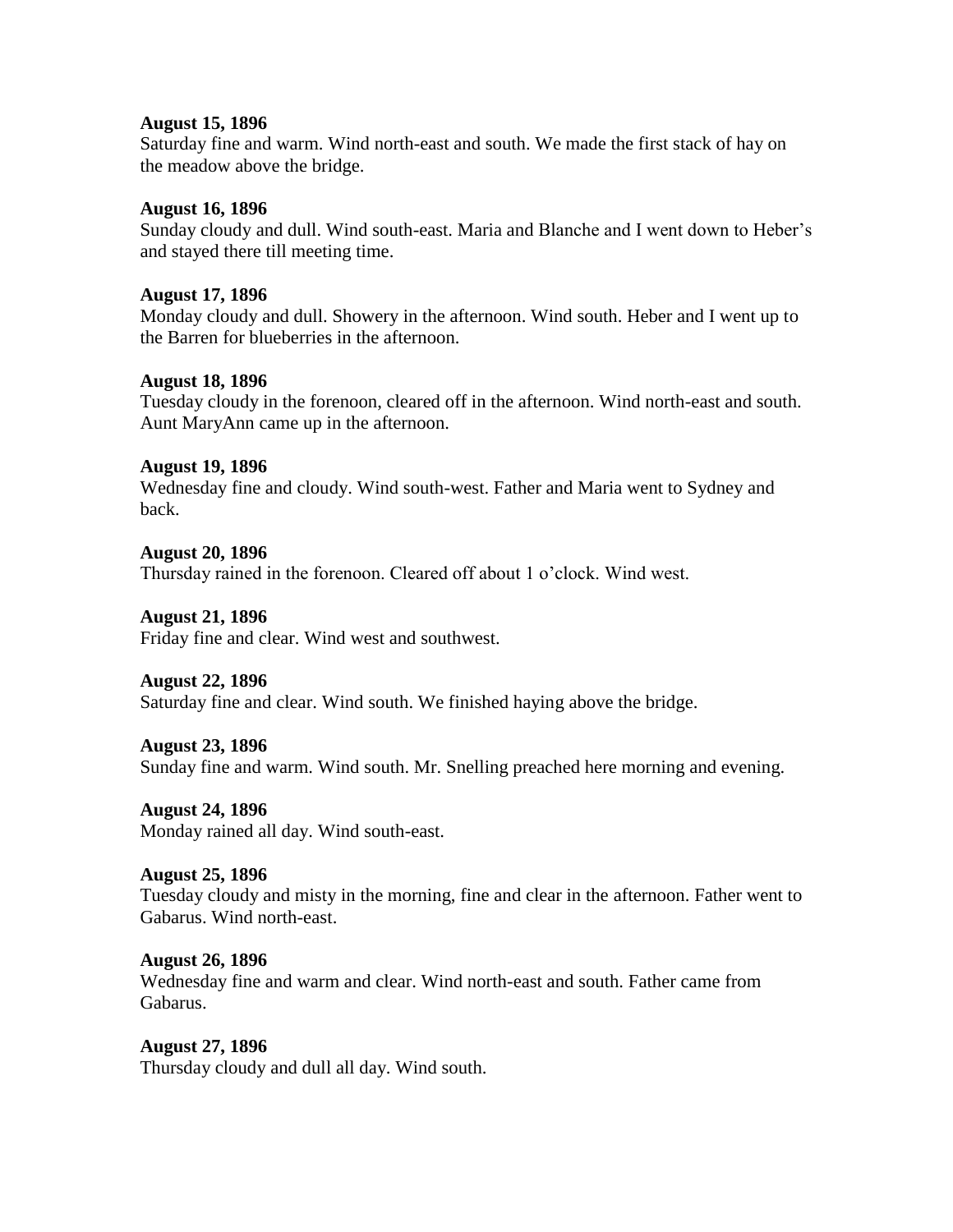#### **August 15, 1896**

Saturday fine and warm. Wind north-east and south. We made the first stack of hay on the meadow above the bridge.

#### **August 16, 1896**

Sunday cloudy and dull. Wind south-east. Maria and Blanche and I went down to Heber's and stayed there till meeting time.

#### **August 17, 1896**

Monday cloudy and dull. Showery in the afternoon. Wind south. Heber and I went up to the Barren for blueberries in the afternoon.

#### **August 18, 1896**

Tuesday cloudy in the forenoon, cleared off in the afternoon. Wind north-east and south. Aunt MaryAnn came up in the afternoon.

#### **August 19, 1896**

Wednesday fine and cloudy. Wind south-west. Father and Maria went to Sydney and back.

#### **August 20, 1896**

Thursday rained in the forenoon. Cleared off about 1 o'clock. Wind west.

#### **August 21, 1896**

Friday fine and clear. Wind west and southwest.

#### **August 22, 1896**

Saturday fine and clear. Wind south. We finished haying above the bridge.

#### **August 23, 1896**

Sunday fine and warm. Wind south. Mr. Snelling preached here morning and evening.

#### **August 24, 1896**

Monday rained all day. Wind south-east.

#### **August 25, 1896**

Tuesday cloudy and misty in the morning, fine and clear in the afternoon. Father went to Gabarus. Wind north-east.

#### **August 26, 1896**

Wednesday fine and warm and clear. Wind north-east and south. Father came from Gabarus.

#### **August 27, 1896**

Thursday cloudy and dull all day. Wind south.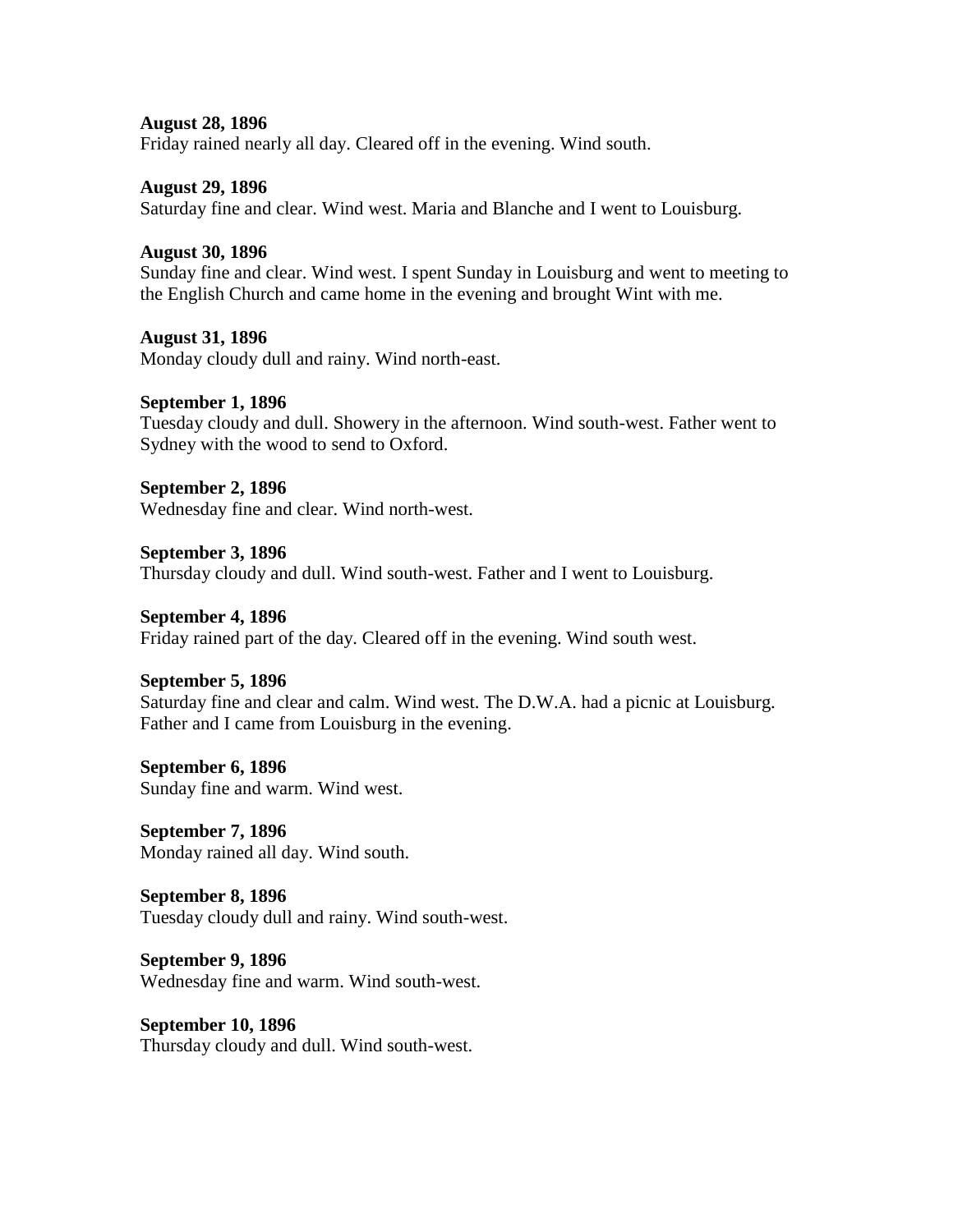**August 28, 1896** Friday rained nearly all day. Cleared off in the evening. Wind south.

**August 29, 1896** Saturday fine and clear. Wind west. Maria and Blanche and I went to Louisburg.

**August 30, 1896**

Sunday fine and clear. Wind west. I spent Sunday in Louisburg and went to meeting to the English Church and came home in the evening and brought Wint with me.

**August 31, 1896** Monday cloudy dull and rainy. Wind north-east.

**September 1, 1896** Tuesday cloudy and dull. Showery in the afternoon. Wind south-west. Father went to Sydney with the wood to send to Oxford.

**September 2, 1896** Wednesday fine and clear. Wind north-west.

**September 3, 1896** Thursday cloudy and dull. Wind south-west. Father and I went to Louisburg.

**September 4, 1896** Friday rained part of the day. Cleared off in the evening. Wind south west.

**September 5, 1896**

Saturday fine and clear and calm. Wind west. The D.W.A. had a picnic at Louisburg. Father and I came from Louisburg in the evening.

**September 6, 1896** Sunday fine and warm. Wind west.

**September 7, 1896** Monday rained all day. Wind south.

**September 8, 1896** Tuesday cloudy dull and rainy. Wind south-west.

**September 9, 1896** Wednesday fine and warm. Wind south-west.

**September 10, 1896** Thursday cloudy and dull. Wind south-west.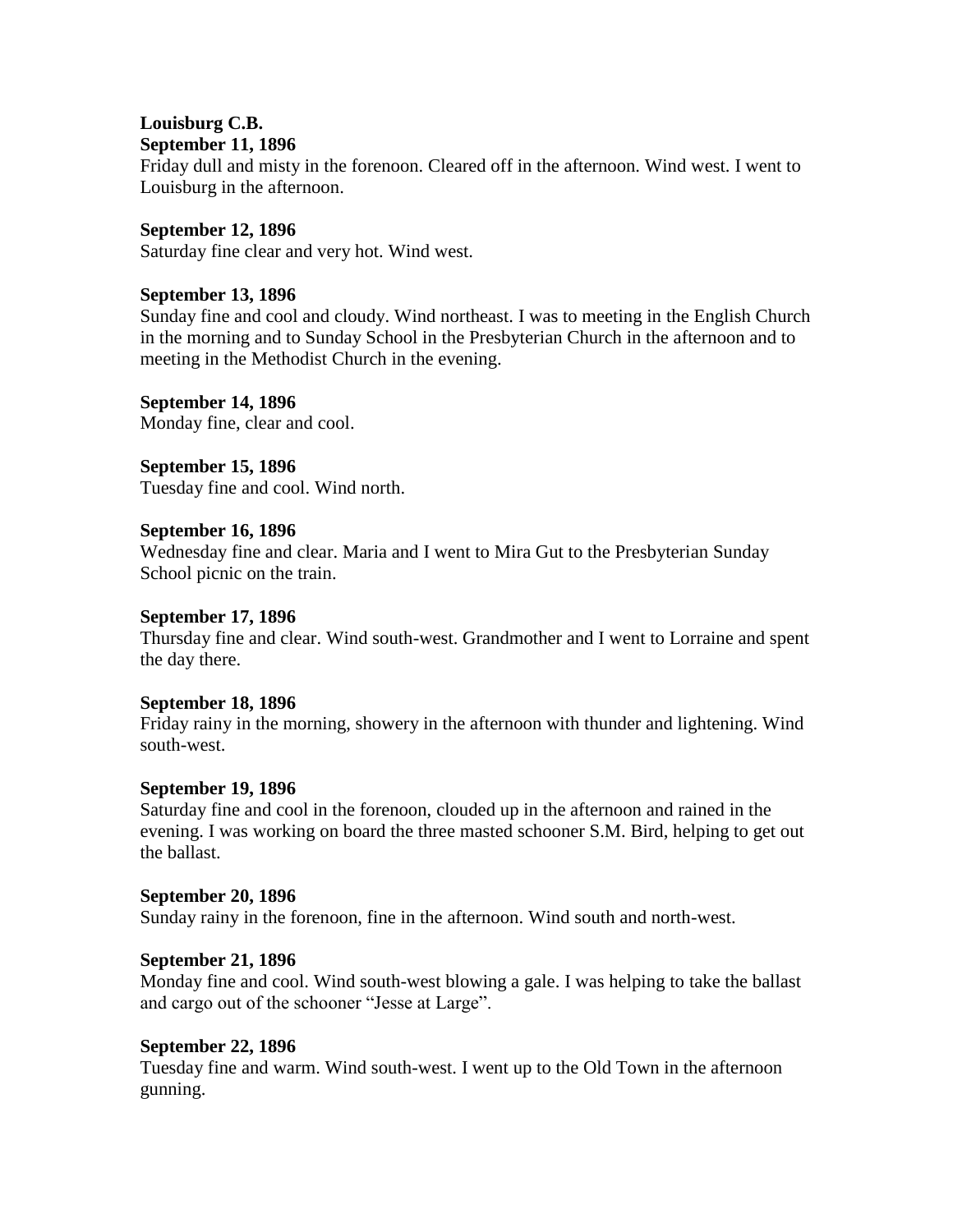#### **Louisburg C.B. September 11, 1896**

Friday dull and misty in the forenoon. Cleared off in the afternoon. Wind west. I went to Louisburg in the afternoon.

#### **September 12, 1896** Saturday fine clear and very hot. Wind west.

# **September 13, 1896**

Sunday fine and cool and cloudy. Wind northeast. I was to meeting in the English Church in the morning and to Sunday School in the Presbyterian Church in the afternoon and to meeting in the Methodist Church in the evening.

# **September 14, 1896**

Monday fine, clear and cool.

**September 15, 1896** Tuesday fine and cool. Wind north.

# **September 16, 1896**

Wednesday fine and clear. Maria and I went to Mira Gut to the Presbyterian Sunday School picnic on the train.

## **September 17, 1896**

Thursday fine and clear. Wind south-west. Grandmother and I went to Lorraine and spent the day there.

# **September 18, 1896**

Friday rainy in the morning, showery in the afternoon with thunder and lightening. Wind south-west.

# **September 19, 1896**

Saturday fine and cool in the forenoon, clouded up in the afternoon and rained in the evening. I was working on board the three masted schooner S.M. Bird, helping to get out the ballast.

# **September 20, 1896**

Sunday rainy in the forenoon, fine in the afternoon. Wind south and north-west.

# **September 21, 1896**

Monday fine and cool. Wind south-west blowing a gale. I was helping to take the ballast and cargo out of the schooner "Jesse at Large".

# **September 22, 1896**

Tuesday fine and warm. Wind south-west. I went up to the Old Town in the afternoon gunning.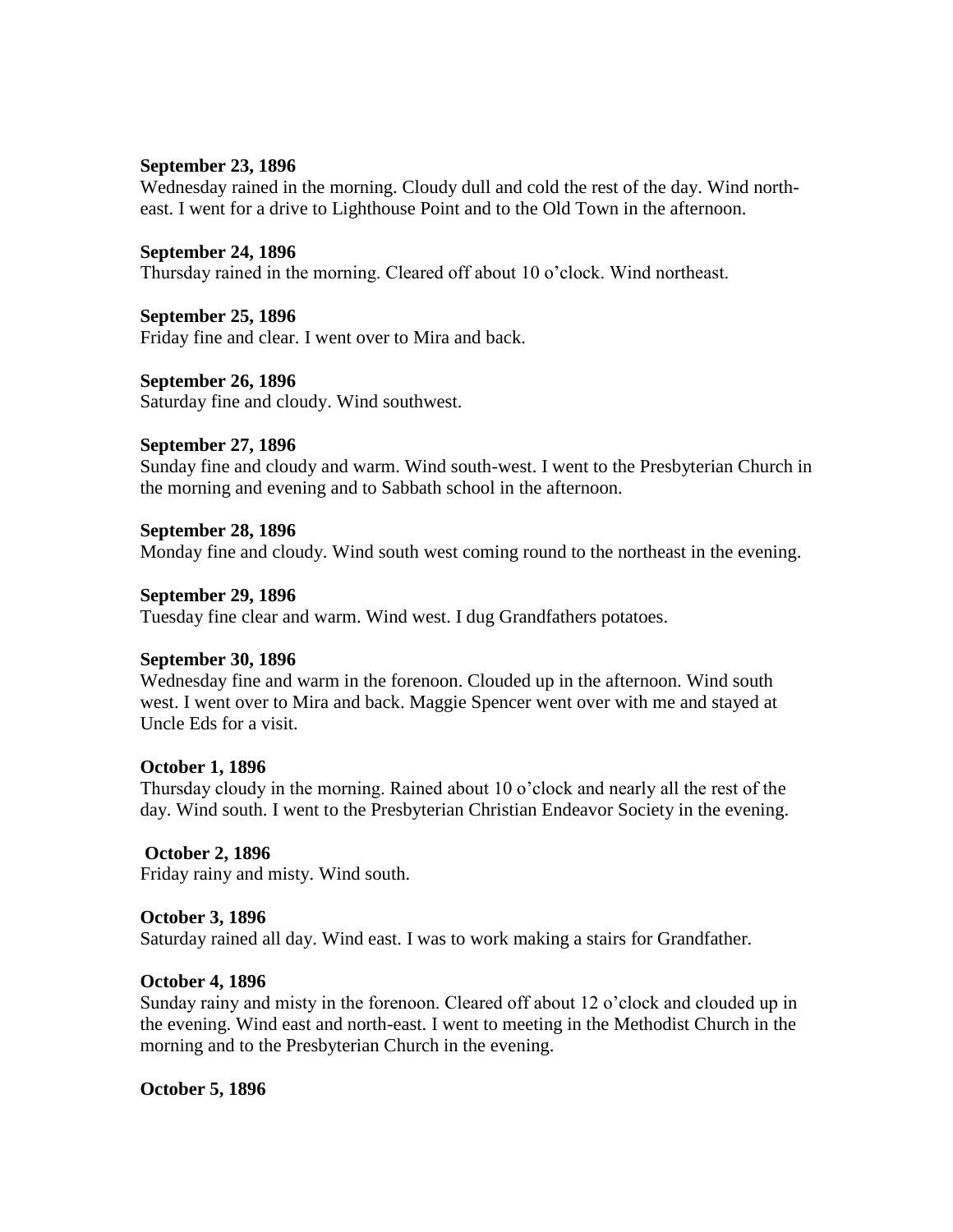#### **September 23, 1896**

Wednesday rained in the morning. Cloudy dull and cold the rest of the day. Wind northeast. I went for a drive to Lighthouse Point and to the Old Town in the afternoon.

#### **September 24, 1896**

Thursday rained in the morning. Cleared off about 10 o'clock. Wind northeast.

#### **September 25, 1896**

Friday fine and clear. I went over to Mira and back.

#### **September 26, 1896**

Saturday fine and cloudy. Wind southwest.

#### **September 27, 1896**

Sunday fine and cloudy and warm. Wind south-west. I went to the Presbyterian Church in the morning and evening and to Sabbath school in the afternoon.

#### **September 28, 1896**

Monday fine and cloudy. Wind south west coming round to the northeast in the evening.

#### **September 29, 1896**

Tuesday fine clear and warm. Wind west. I dug Grandfathers potatoes.

#### **September 30, 1896**

Wednesday fine and warm in the forenoon. Clouded up in the afternoon. Wind south west. I went over to Mira and back. Maggie Spencer went over with me and stayed at Uncle Eds for a visit.

#### **October 1, 1896**

Thursday cloudy in the morning. Rained about 10 o'clock and nearly all the rest of the day. Wind south. I went to the Presbyterian Christian Endeavor Society in the evening.

#### **October 2, 1896**

Friday rainy and misty. Wind south.

#### **October 3, 1896**

Saturday rained all day. Wind east. I was to work making a stairs for Grandfather.

#### **October 4, 1896**

Sunday rainy and misty in the forenoon. Cleared off about 12 o'clock and clouded up in the evening. Wind east and north-east. I went to meeting in the Methodist Church in the morning and to the Presbyterian Church in the evening.

#### **October 5, 1896**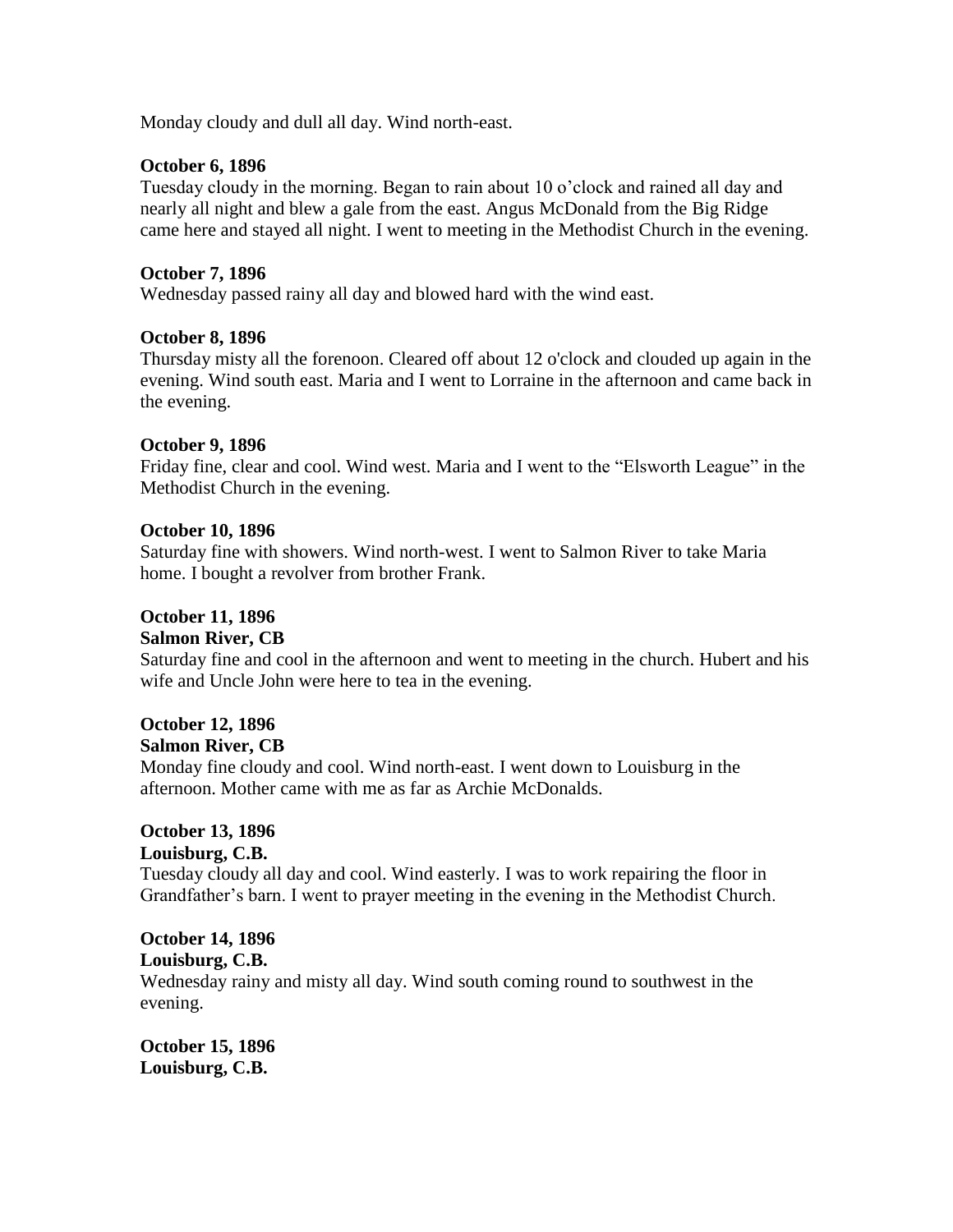Monday cloudy and dull all day. Wind north-east.

#### **October 6, 1896**

Tuesday cloudy in the morning. Began to rain about 10 o'clock and rained all day and nearly all night and blew a gale from the east. Angus McDonald from the Big Ridge came here and stayed all night. I went to meeting in the Methodist Church in the evening.

#### **October 7, 1896**

Wednesday passed rainy all day and blowed hard with the wind east.

#### **October 8, 1896**

Thursday misty all the forenoon. Cleared off about 12 o'clock and clouded up again in the evening. Wind south east. Maria and I went to Lorraine in the afternoon and came back in the evening.

#### **October 9, 1896**

Friday fine, clear and cool. Wind west. Maria and I went to the "Elsworth League" in the Methodist Church in the evening.

#### **October 10, 1896**

Saturday fine with showers. Wind north-west. I went to Salmon River to take Maria home. I bought a revolver from brother Frank.

#### **October 11, 1896**

#### **Salmon River, CB**

Saturday fine and cool in the afternoon and went to meeting in the church. Hubert and his wife and Uncle John were here to tea in the evening.

# **October 12, 1896**

#### **Salmon River, CB**

Monday fine cloudy and cool. Wind north-east. I went down to Louisburg in the afternoon. Mother came with me as far as Archie McDonalds.

## **October 13, 1896 Louisburg, C.B.**

Tuesday cloudy all day and cool. Wind easterly. I was to work repairing the floor in Grandfather's barn. I went to prayer meeting in the evening in the Methodist Church.

#### **October 14, 1896 Louisburg, C.B.**

Wednesday rainy and misty all day. Wind south coming round to southwest in the evening.

**October 15, 1896 Louisburg, C.B.**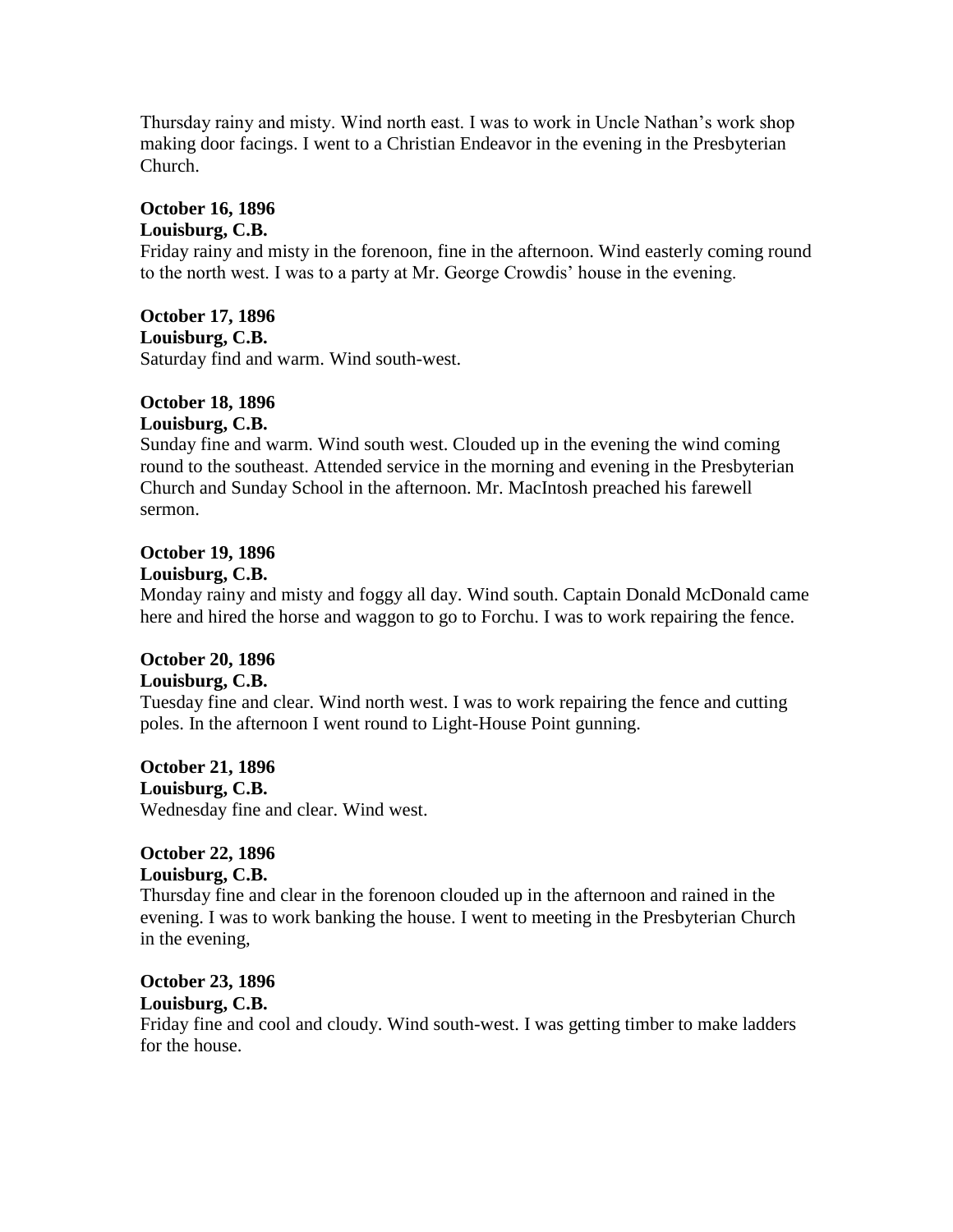Thursday rainy and misty. Wind north east. I was to work in Uncle Nathan's work shop making door facings. I went to a Christian Endeavor in the evening in the Presbyterian Church.

# **October 16, 1896**

#### **Louisburg, C.B.**

Friday rainy and misty in the forenoon, fine in the afternoon. Wind easterly coming round to the north west. I was to a party at Mr. George Crowdis' house in the evening.

**October 17, 1896**

**Louisburg, C.B.**

Saturday find and warm. Wind south-west.

# **October 18, 1896**

### **Louisburg, C.B.**

Sunday fine and warm. Wind south west. Clouded up in the evening the wind coming round to the southeast. Attended service in the morning and evening in the Presbyterian Church and Sunday School in the afternoon. Mr. MacIntosh preached his farewell sermon.

# **October 19, 1896**

#### **Louisburg, C.B.**

Monday rainy and misty and foggy all day. Wind south. Captain Donald McDonald came here and hired the horse and waggon to go to Forchu. I was to work repairing the fence.

# **October 20, 1896**

## **Louisburg, C.B.**

Tuesday fine and clear. Wind north west. I was to work repairing the fence and cutting poles. In the afternoon I went round to Light-House Point gunning.

**October 21, 1896 Louisburg, C.B.** Wednesday fine and clear. Wind west.

#### **October 22, 1896 Louisburg, C.B.**

Thursday fine and clear in the forenoon clouded up in the afternoon and rained in the evening. I was to work banking the house. I went to meeting in the Presbyterian Church in the evening,

# **October 23, 1896 Louisburg, C.B.**

Friday fine and cool and cloudy. Wind south-west. I was getting timber to make ladders for the house.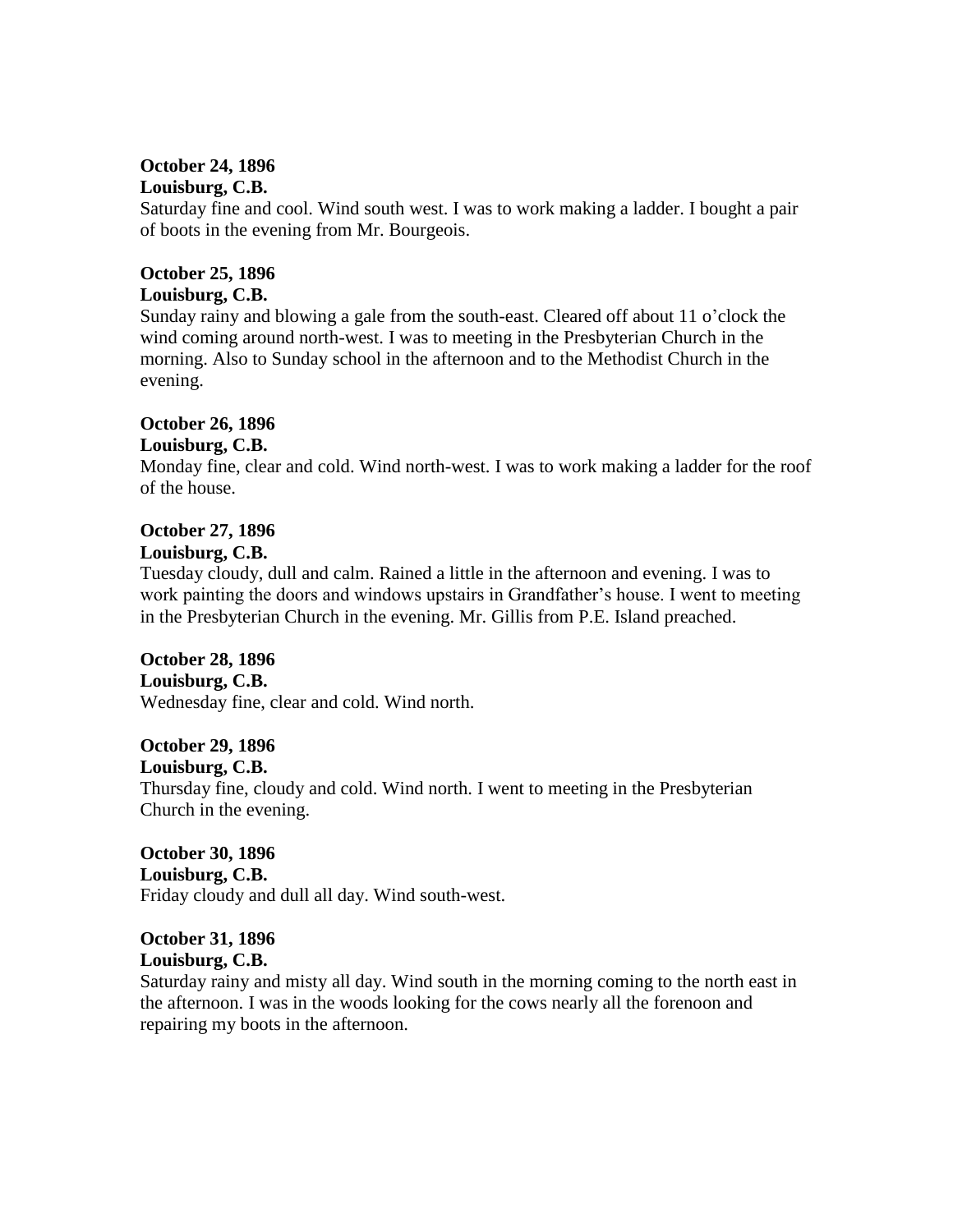#### **October 24, 1896 Louisburg, C.B.**

Saturday fine and cool. Wind south west. I was to work making a ladder. I bought a pair of boots in the evening from Mr. Bourgeois.

## **October 25, 1896 Louisburg, C.B.**

Sunday rainy and blowing a gale from the south-east. Cleared off about 11 o'clock the wind coming around north-west. I was to meeting in the Presbyterian Church in the morning. Also to Sunday school in the afternoon and to the Methodist Church in the evening.

# **October 26, 1896**

# **Louisburg, C.B.**

Monday fine, clear and cold. Wind north-west. I was to work making a ladder for the roof of the house.

# **October 27, 1896 Louisburg, C.B.**

Tuesday cloudy, dull and calm. Rained a little in the afternoon and evening. I was to work painting the doors and windows upstairs in Grandfather's house. I went to meeting in the Presbyterian Church in the evening. Mr. Gillis from P.E. Island preached.

# **October 28, 1896**

#### **Louisburg, C.B.**

Wednesday fine, clear and cold. Wind north.

# **October 29, 1896**

#### **Louisburg, C.B.**

Thursday fine, cloudy and cold. Wind north. I went to meeting in the Presbyterian Church in the evening.

**October 30, 1896 Louisburg, C.B.** Friday cloudy and dull all day. Wind south-west.

# **October 31, 1896 Louisburg, C.B.**

Saturday rainy and misty all day. Wind south in the morning coming to the north east in the afternoon. I was in the woods looking for the cows nearly all the forenoon and repairing my boots in the afternoon.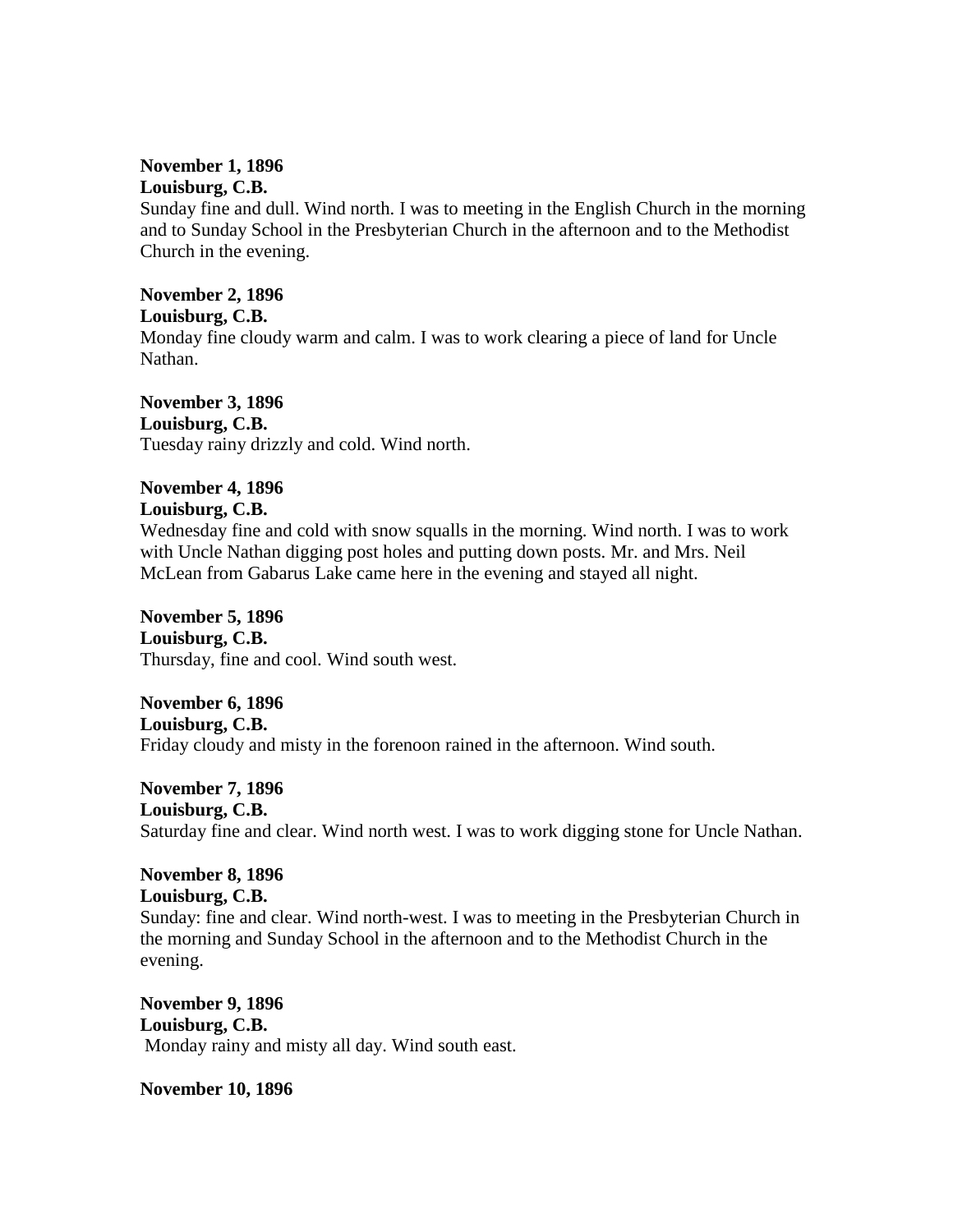#### **November 1, 1896 Louisburg, C.B.**

Sunday fine and dull. Wind north. I was to meeting in the English Church in the morning and to Sunday School in the Presbyterian Church in the afternoon and to the Methodist Church in the evening.

#### **November 2, 1896 Louisburg, C.B.**

Monday fine cloudy warm and calm. I was to work clearing a piece of land for Uncle Nathan.

**November 3, 1896 Louisburg, C.B.** Tuesday rainy drizzly and cold. Wind north.

# **November 4, 1896**

**Louisburg, C.B.**

Wednesday fine and cold with snow squalls in the morning. Wind north. I was to work with Uncle Nathan digging post holes and putting down posts. Mr. and Mrs. Neil McLean from Gabarus Lake came here in the evening and stayed all night.

**November 5, 1896 Louisburg, C.B.** Thursday, fine and cool. Wind south west.

**November 6, 1896 Louisburg, C.B.** Friday cloudy and misty in the forenoon rained in the afternoon. Wind south.

**November 7, 1896 Louisburg, C.B.** Saturday fine and clear. Wind north west. I was to work digging stone for Uncle Nathan.

# **November 8, 1896 Louisburg, C.B.**

Sunday: fine and clear. Wind north-west. I was to meeting in the Presbyterian Church in the morning and Sunday School in the afternoon and to the Methodist Church in the evening.

**November 9, 1896 Louisburg, C.B.** Monday rainy and misty all day. Wind south east.

**November 10, 1896**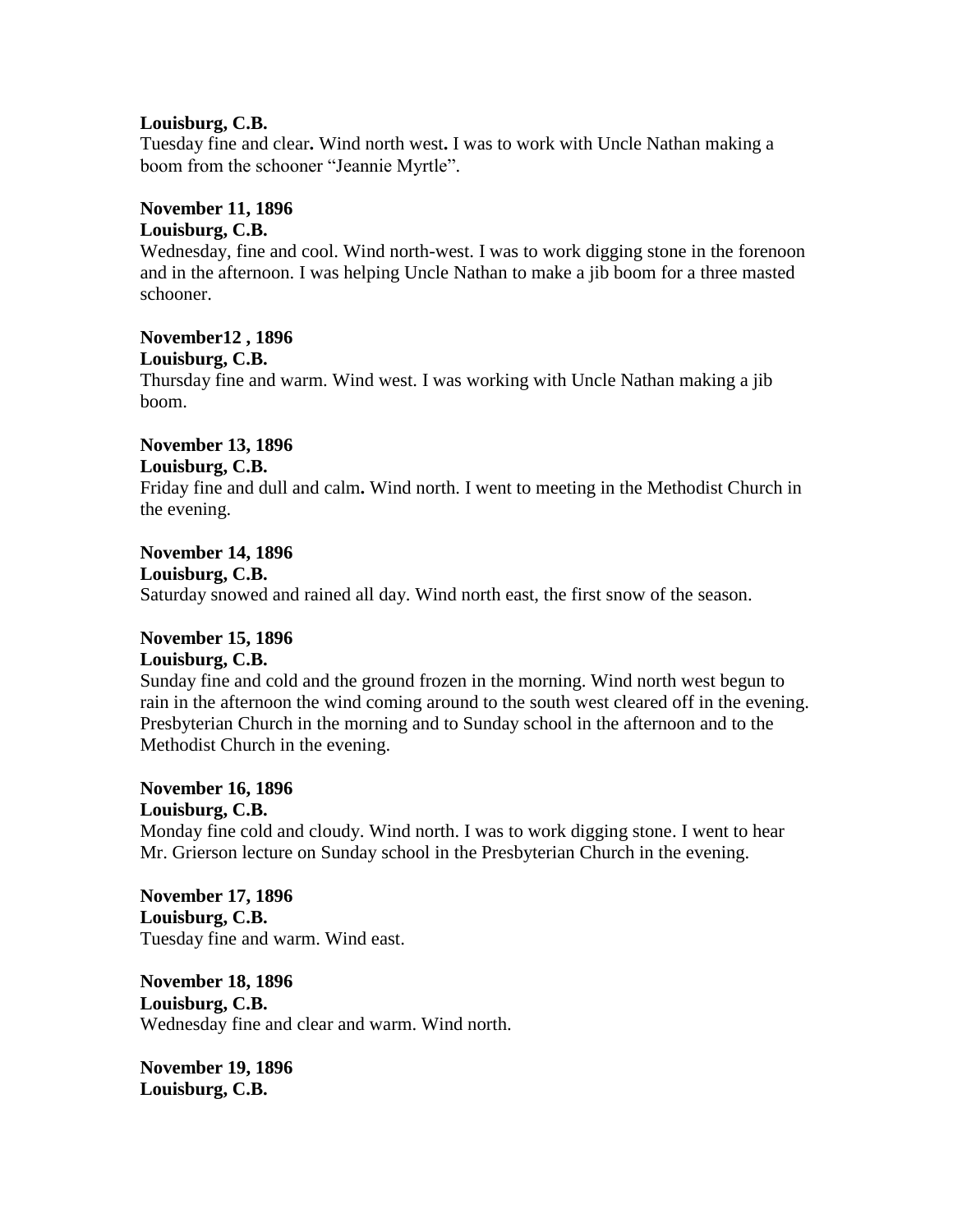#### **Louisburg, C.B.**

Tuesday fine and clear**.** Wind north west**.** I was to work with Uncle Nathan making a boom from the schooner "Jeannie Myrtle".

## **November 11, 1896**

#### **Louisburg, C.B.**

Wednesday, fine and cool. Wind north-west. I was to work digging stone in the forenoon and in the afternoon. I was helping Uncle Nathan to make a jib boom for a three masted schooner.

# **November12 , 1896**

**Louisburg, C.B.**

Thursday fine and warm. Wind west. I was working with Uncle Nathan making a jib boom.

# **November 13, 1896**

# **Louisburg, C.B.**

Friday fine and dull and calm**.** Wind north. I went to meeting in the Methodist Church in the evening.

# **November 14, 1896**

**Louisburg, C.B.**

Saturday snowed and rained all day. Wind north east, the first snow of the season.

### **November 15, 1896**

#### **Louisburg, C.B.**

Sunday fine and cold and the ground frozen in the morning. Wind north west begun to rain in the afternoon the wind coming around to the south west cleared off in the evening. Presbyterian Church in the morning and to Sunday school in the afternoon and to the Methodist Church in the evening.

#### **November 16, 1896 Louisburg, C.B.**

Monday fine cold and cloudy. Wind north. I was to work digging stone. I went to hear Mr. Grierson lecture on Sunday school in the Presbyterian Church in the evening.

## **November 17, 1896 Louisburg, C.B.** Tuesday fine and warm. Wind east.

**November 18, 1896 Louisburg, C.B.** Wednesday fine and clear and warm. Wind north.

**November 19, 1896 Louisburg, C.B.**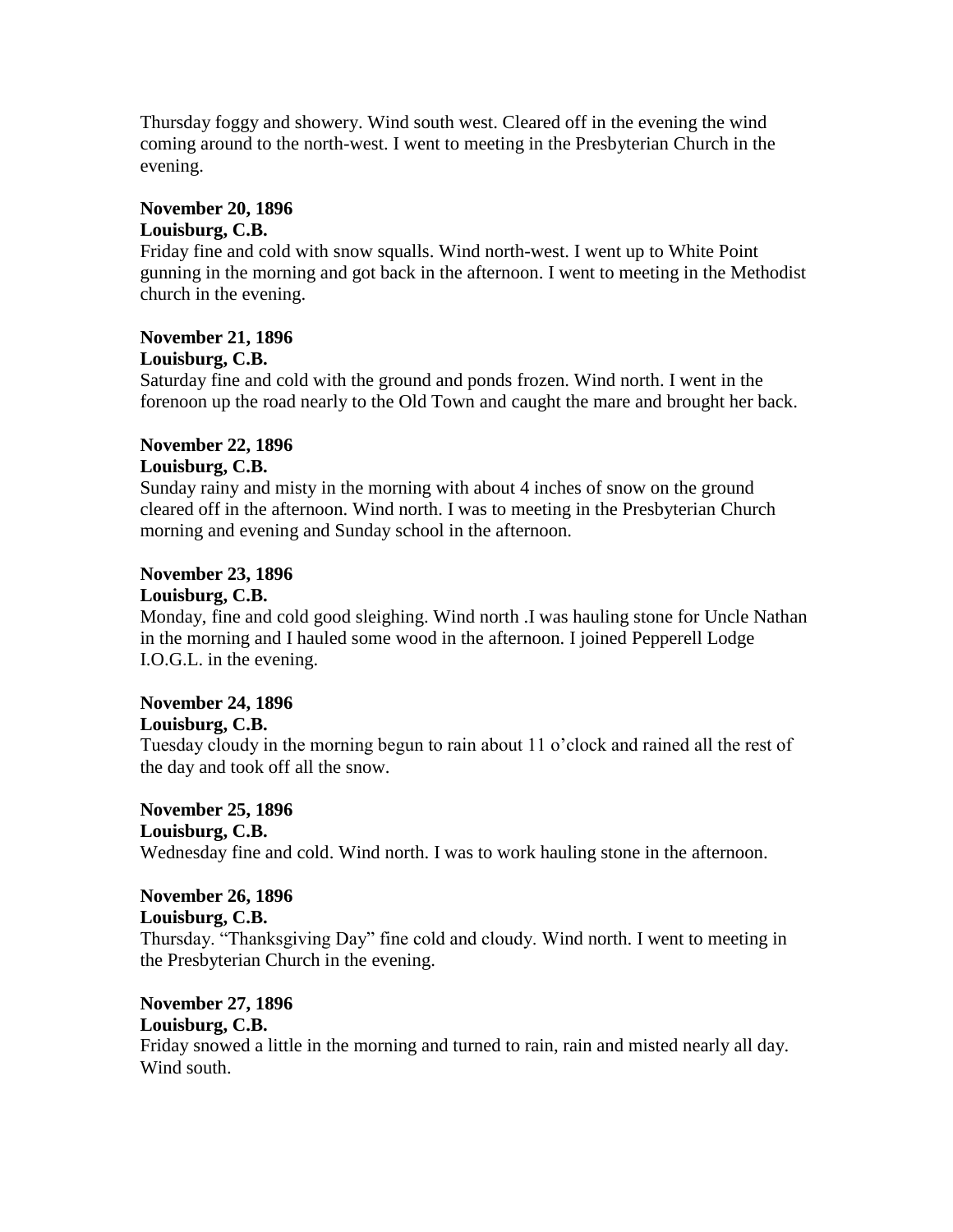Thursday foggy and showery. Wind south west. Cleared off in the evening the wind coming around to the north-west. I went to meeting in the Presbyterian Church in the evening.

## **November 20, 1896**

## **Louisburg, C.B.**

Friday fine and cold with snow squalls. Wind north-west. I went up to White Point gunning in the morning and got back in the afternoon. I went to meeting in the Methodist church in the evening.

## **November 21, 1896 Louisburg, C.B.**

Saturday fine and cold with the ground and ponds frozen. Wind north. I went in the forenoon up the road nearly to the Old Town and caught the mare and brought her back.

### **November 22, 1896 Louisburg, C.B.**

Sunday rainy and misty in the morning with about 4 inches of snow on the ground cleared off in the afternoon. Wind north. I was to meeting in the Presbyterian Church morning and evening and Sunday school in the afternoon.

# **November 23, 1896**

#### **Louisburg, C.B.**

Monday, fine and cold good sleighing. Wind north .I was hauling stone for Uncle Nathan in the morning and I hauled some wood in the afternoon. I joined Pepperell Lodge I.O.G.L. in the evening.

# **November 24, 1896**

# **Louisburg, C.B.**

Tuesday cloudy in the morning begun to rain about 11 o'clock and rained all the rest of the day and took off all the snow.

**November 25, 1896**

# **Louisburg, C.B.**

Wednesday fine and cold. Wind north. I was to work hauling stone in the afternoon.

# **November 26, 1896**

#### **Louisburg, C.B.**

Thursday. "Thanksgiving Day" fine cold and cloudy. Wind north. I went to meeting in the Presbyterian Church in the evening.

# **November 27, 1896**

# **Louisburg, C.B.**

Friday snowed a little in the morning and turned to rain, rain and misted nearly all day. Wind south.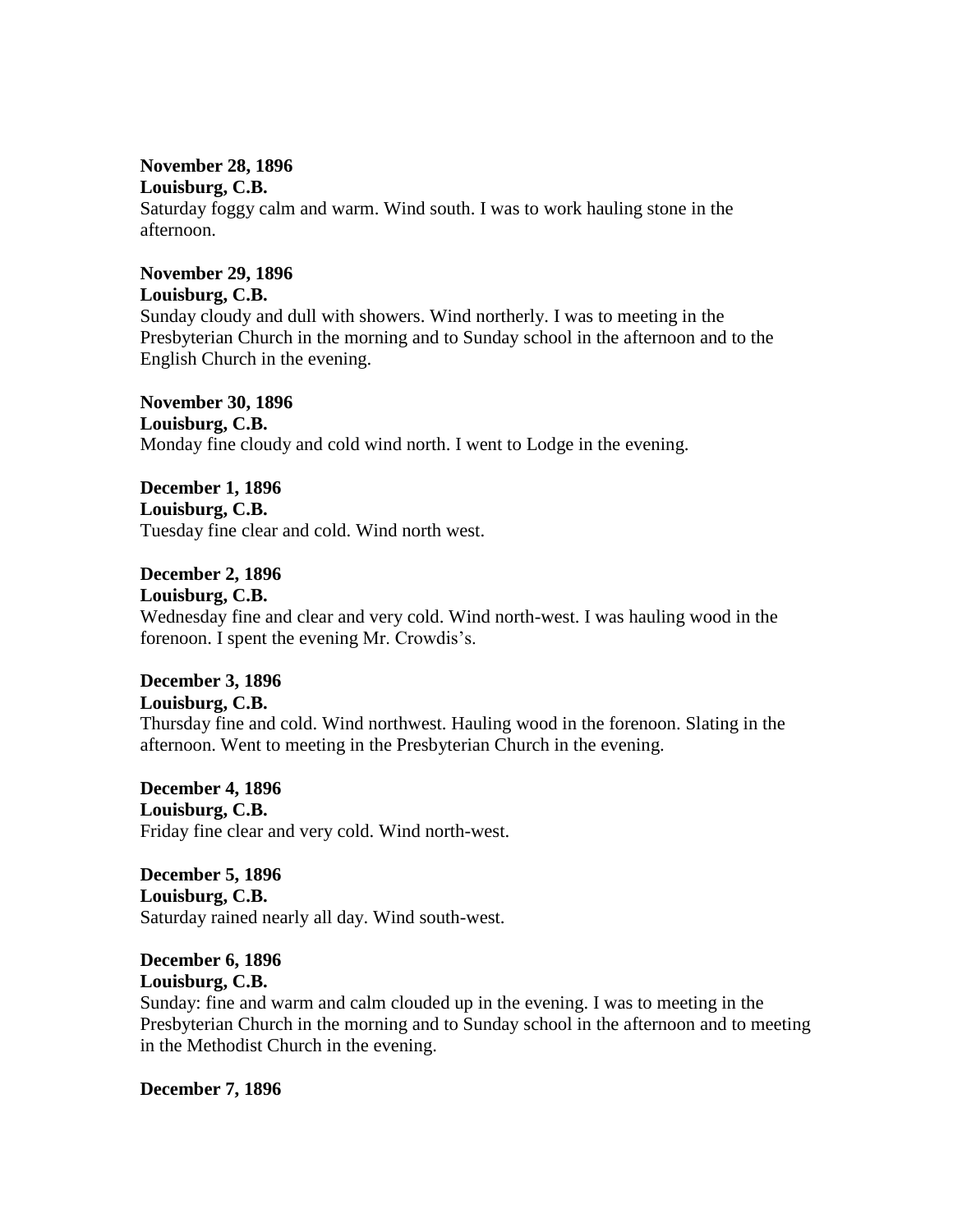#### **November 28, 1896 Louisburg, C.B.**

Saturday foggy calm and warm. Wind south. I was to work hauling stone in the afternoon.

# **November 29, 1896 Louisburg, C.B.**

Sunday cloudy and dull with showers. Wind northerly. I was to meeting in the Presbyterian Church in the morning and to Sunday school in the afternoon and to the English Church in the evening.

**November 30, 1896 Louisburg, C.B.** Monday fine cloudy and cold wind north. I went to Lodge in the evening.

**December 1, 1896 Louisburg, C.B.** Tuesday fine clear and cold. Wind north west.

**December 2, 1896 Louisburg, C.B.** Wednesday fine and clear and very cold. Wind north-west. I was hauling wood in the forenoon. I spent the evening Mr. Crowdis's.

# **December 3, 1896 Louisburg, C.B.**

Thursday fine and cold. Wind northwest. Hauling wood in the forenoon. Slating in the afternoon. Went to meeting in the Presbyterian Church in the evening.

**December 4, 1896 Louisburg, C.B.**  Friday fine clear and very cold. Wind north-west.

**December 5, 1896 Louisburg, C.B.**  Saturday rained nearly all day. Wind south-west.

#### **December 6, 1896 Louisburg, C.B.**

Sunday: fine and warm and calm clouded up in the evening. I was to meeting in the Presbyterian Church in the morning and to Sunday school in the afternoon and to meeting in the Methodist Church in the evening.

**December 7, 1896**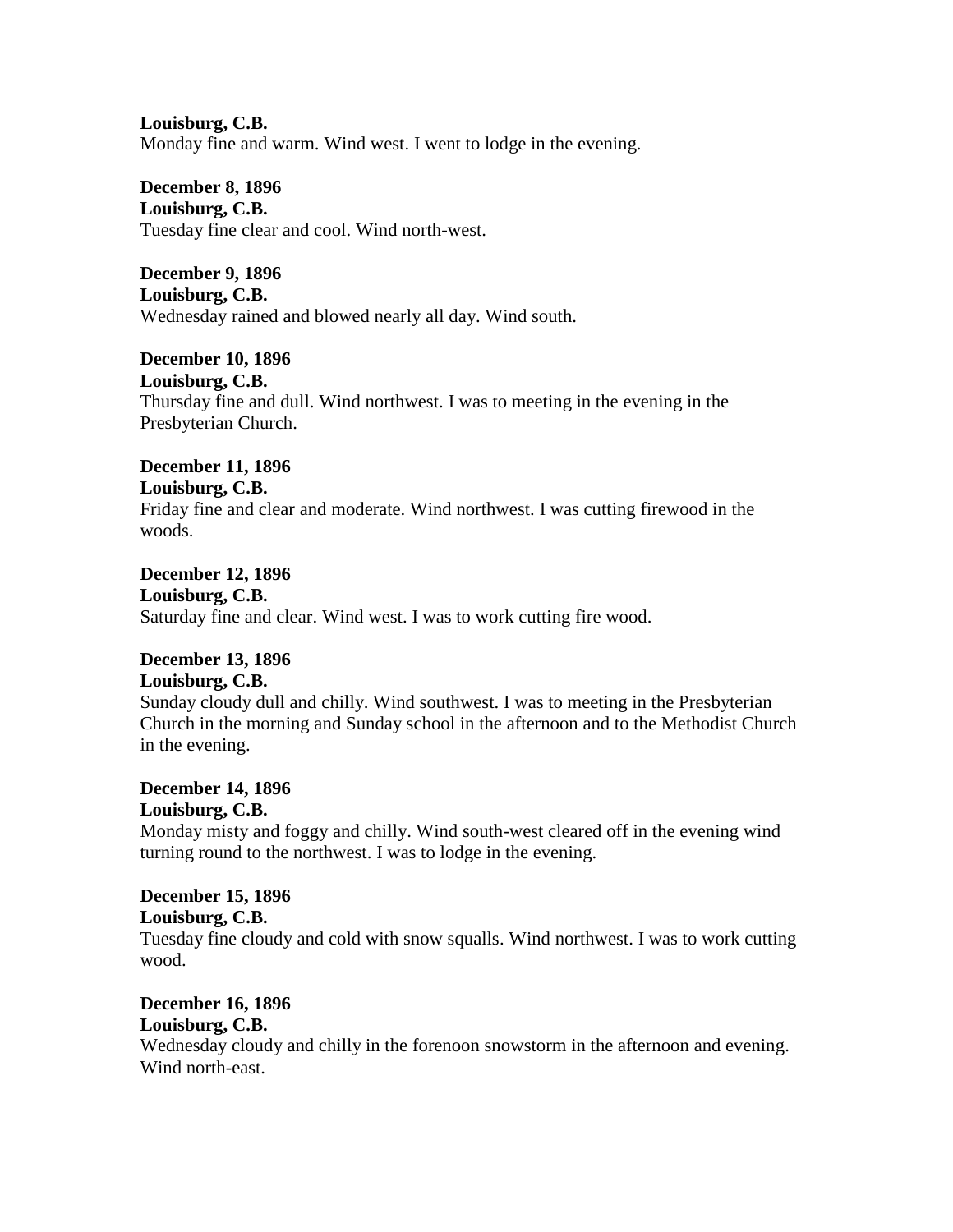**Louisburg, C.B.**  Monday fine and warm. Wind west. I went to lodge in the evening.

**December 8, 1896 Louisburg, C.B.**  Tuesday fine clear and cool. Wind north-west.

**December 9, 1896 Louisburg, C.B.**  Wednesday rained and blowed nearly all day. Wind south.

**December 10, 1896 Louisburg, C.B.**  Thursday fine and dull. Wind northwest. I was to meeting in the evening in the Presbyterian Church.

**December 11, 1896 Louisburg, C.B.**  Friday fine and clear and moderate. Wind northwest. I was cutting firewood in the woods.

**December 12, 1896 Louisburg, C.B.**  Saturday fine and clear. Wind west. I was to work cutting fire wood.

#### **December 13, 1896 Louisburg, C.B.**

Sunday cloudy dull and chilly. Wind southwest. I was to meeting in the Presbyterian Church in the morning and Sunday school in the afternoon and to the Methodist Church in the evening.

**December 14, 1896 Louisburg, C.B.**  Monday misty and foggy and chilly. Wind south-west cleared off in the evening wind turning round to the northwest. I was to lodge in the evening.

# **December 15, 1896 Louisburg, C.B.**

Tuesday fine cloudy and cold with snow squalls. Wind northwest. I was to work cutting wood.

**December 16, 1896 Louisburg, C.B.** 

Wednesday cloudy and chilly in the forenoon snowstorm in the afternoon and evening. Wind north-east.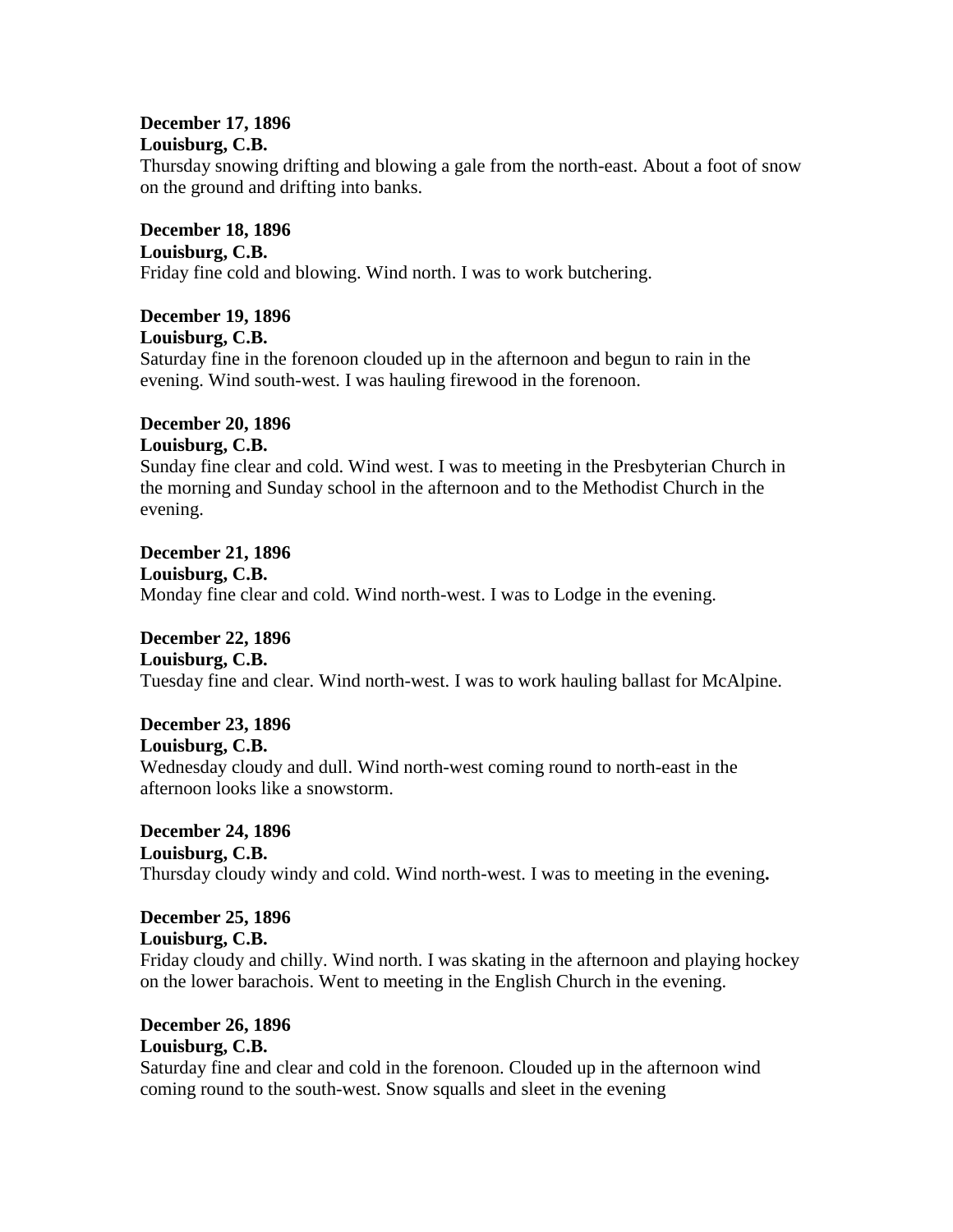#### **December 17, 1896 Louisburg, C.B.**

Thursday snowing drifting and blowing a gale from the north-east. About a foot of snow on the ground and drifting into banks.

**December 18, 1896 Louisburg, C.B.**  Friday fine cold and blowing. Wind north. I was to work butchering.

### **December 19, 1896 Louisburg, C.B.**

Saturday fine in the forenoon clouded up in the afternoon and begun to rain in the evening. Wind south-west. I was hauling firewood in the forenoon.

### **December 20, 1896 Louisburg, C.B.**

Sunday fine clear and cold. Wind west. I was to meeting in the Presbyterian Church in the morning and Sunday school in the afternoon and to the Methodist Church in the evening.

**December 21, 1896 Louisburg, C.B.**  Monday fine clear and cold. Wind north-west. I was to Lodge in the evening.

**December 22, 1896**

**Louisburg, C.B.** 

Tuesday fine and clear. Wind north-west. I was to work hauling ballast for McAlpine.

# **December 23, 1896**

## **Louisburg, C.B.**

Wednesday cloudy and dull. Wind north-west coming round to north-east in the afternoon looks like a snowstorm.

**December 24, 1896 Louisburg, C.B.**  Thursday cloudy windy and cold. Wind north-west. I was to meeting in the evening**.**

# **December 25, 1896**

**Louisburg, C.B.** 

Friday cloudy and chilly. Wind north. I was skating in the afternoon and playing hockey on the lower barachois. Went to meeting in the English Church in the evening.

# **December 26, 1896 Louisburg, C.B.**

Saturday fine and clear and cold in the forenoon. Clouded up in the afternoon wind coming round to the south-west. Snow squalls and sleet in the evening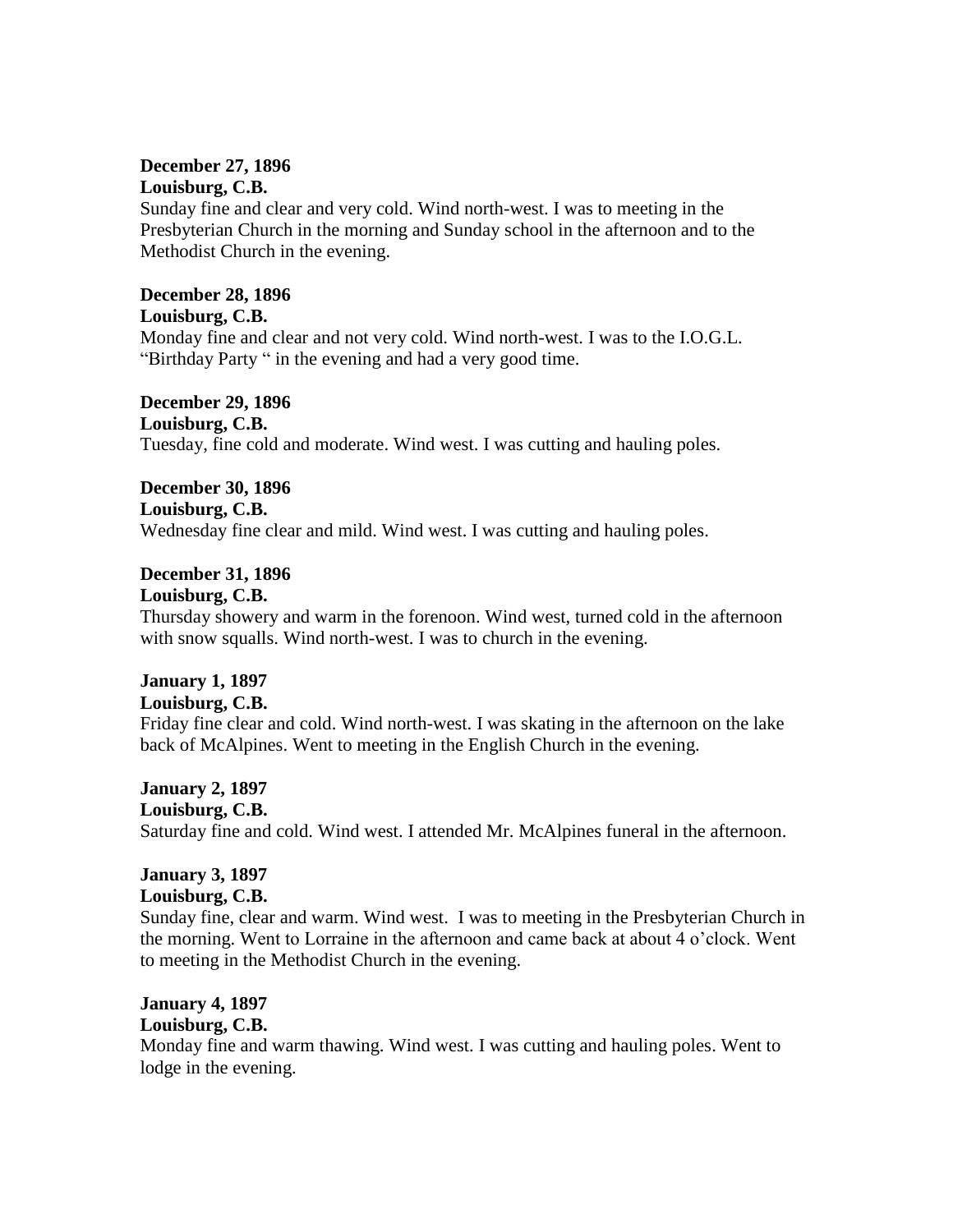#### **December 27, 1896 Louisburg, C.B.**

Sunday fine and clear and very cold. Wind north-west. I was to meeting in the Presbyterian Church in the morning and Sunday school in the afternoon and to the Methodist Church in the evening.

# **December 28, 1896**

**Louisburg, C.B.** 

Monday fine and clear and not very cold. Wind north-west. I was to the I.O.G.L. "Birthday Party " in the evening and had a very good time.

**December 29, 1896 Louisburg, C.B.**  Tuesday, fine cold and moderate. Wind west. I was cutting and hauling poles.

**December 30, 1896 Louisburg, C.B.**  Wednesday fine clear and mild. Wind west. I was cutting and hauling poles.

**December 31, 1896 Louisburg, C.B.** 

Thursday showery and warm in the forenoon. Wind west, turned cold in the afternoon with snow squalls. Wind north-west. I was to church in the evening.

# **January 1, 1897**

# **Louisburg, C.B.**

Friday fine clear and cold. Wind north-west. I was skating in the afternoon on the lake back of McAlpines. Went to meeting in the English Church in the evening.

**January 2, 1897**

### **Louisburg, C.B.**

Saturday fine and cold. Wind west. I attended Mr. McAlpines funeral in the afternoon.

# **January 3, 1897**

**Louisburg, C.B.**

Sunday fine, clear and warm. Wind west. I was to meeting in the Presbyterian Church in the morning. Went to Lorraine in the afternoon and came back at about 4 o'clock. Went to meeting in the Methodist Church in the evening.

# **January 4, 1897**

# **Louisburg, C.B.**

Monday fine and warm thawing. Wind west. I was cutting and hauling poles. Went to lodge in the evening.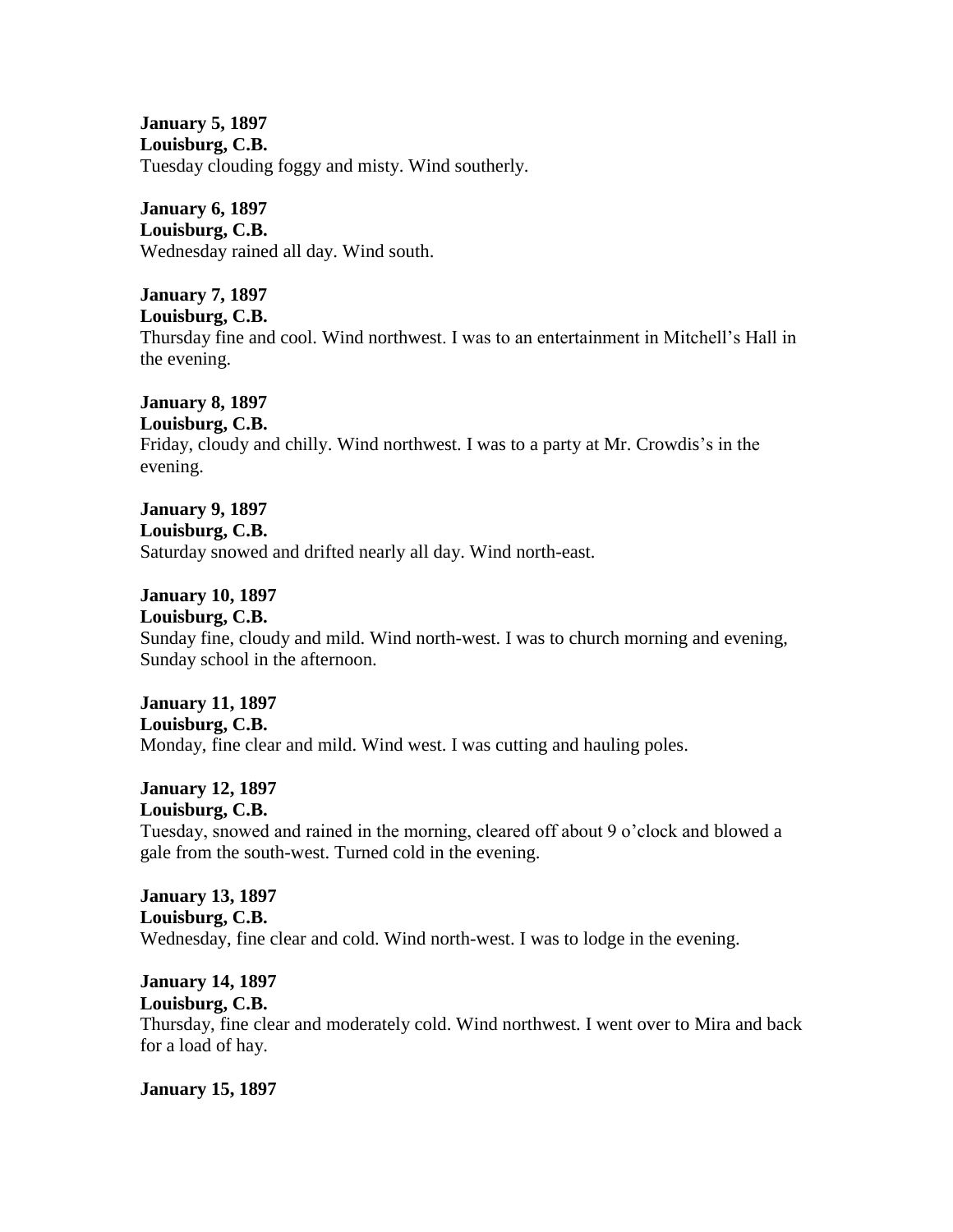**January 5, 1897 Louisburg, C.B.** Tuesday clouding foggy and misty. Wind southerly.

**January 6, 1897 Louisburg, C.B.** Wednesday rained all day. Wind south.

**January 7, 1897 Louisburg, C.B.** Thursday fine and cool. Wind northwest. I was to an entertainment in Mitchell's Hall in the evening.

**January 8, 1897 Louisburg, C.B.** Friday, cloudy and chilly. Wind northwest. I was to a party at Mr. Crowdis's in the evening.

**January 9, 1897 Louisburg, C.B.** Saturday snowed and drifted nearly all day. Wind north-east.

**January 10, 1897 Louisburg, C.B.** Sunday fine, cloudy and mild. Wind north-west. I was to church morning and evening, Sunday school in the afternoon.

**January 11, 1897 Louisburg, C.B.** Monday, fine clear and mild. Wind west. I was cutting and hauling poles.

**January 12, 1897 Louisburg, C.B.** Tuesday, snowed and rained in the morning, cleared off about 9 o'clock and blowed a gale from the south-west. Turned cold in the evening.

**January 13, 1897 Louisburg, C.B.** Wednesday, fine clear and cold. Wind north-west. I was to lodge in the evening.

**January 14, 1897 Louisburg, C.B.** Thursday, fine clear and moderately cold. Wind northwest. I went over to Mira and back for a load of hay.

**January 15, 1897**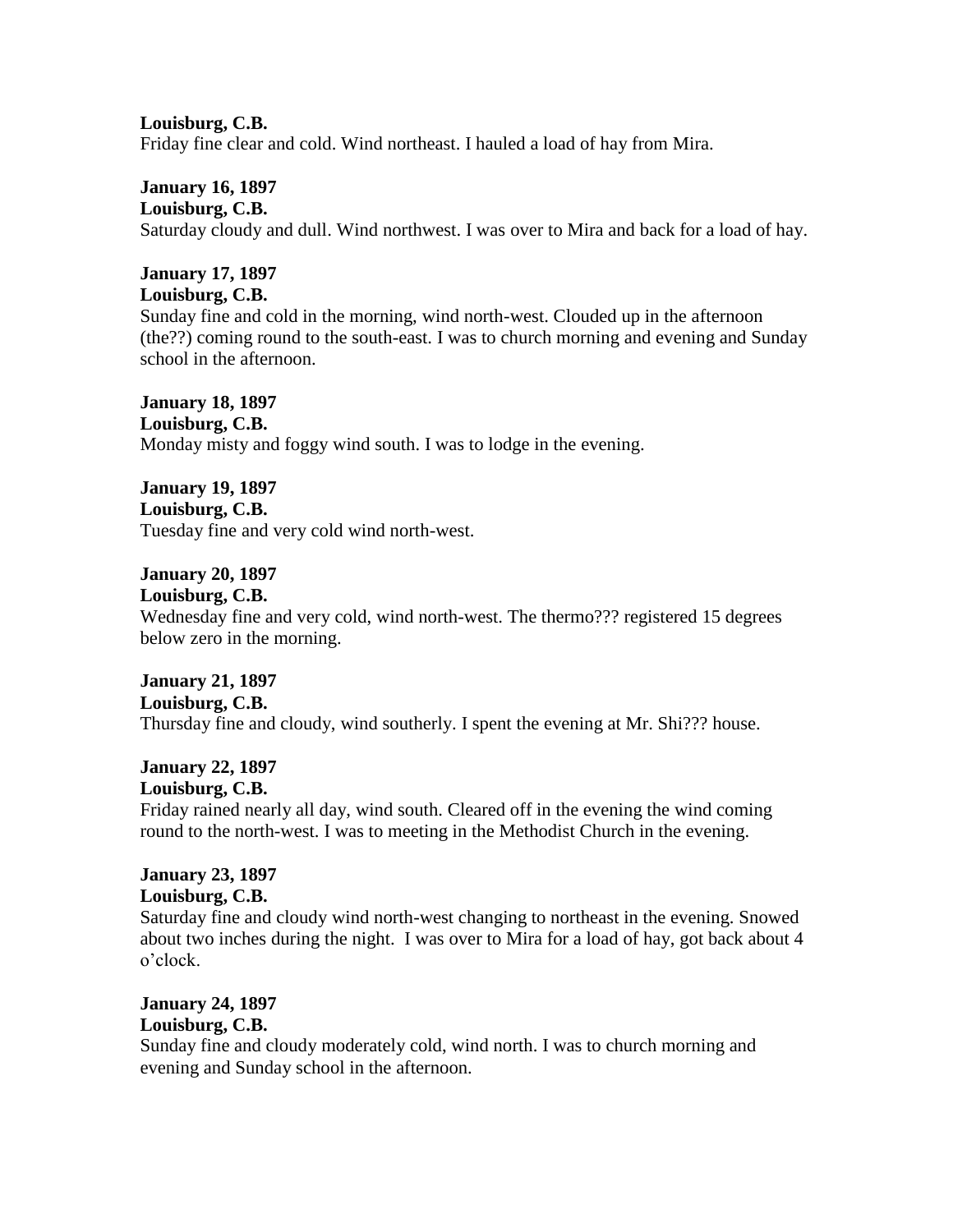**Louisburg, C.B.** Friday fine clear and cold. Wind northeast. I hauled a load of hay from Mira.

**January 16, 1897 Louisburg, C.B.** Saturday cloudy and dull. Wind northwest. I was over to Mira and back for a load of hay.

**January 17, 1897 Louisburg, C.B.**

Sunday fine and cold in the morning, wind north-west. Clouded up in the afternoon (the??) coming round to the south-east. I was to church morning and evening and Sunday school in the afternoon.

**January 18, 1897 Louisburg, C.B.** Monday misty and foggy wind south. I was to lodge in the evening.

**January 19, 1897 Louisburg, C.B.** Tuesday fine and very cold wind north-west.

**January 20, 1897**

**Louisburg, C.B.**

Wednesday fine and very cold, wind north-west. The thermo??? registered 15 degrees below zero in the morning.

**January 21, 1897 Louisburg, C.B.** Thursday fine and cloudy, wind southerly. I spent the evening at Mr. Shi??? house.

**January 22, 1897 Louisburg, C.B.** Friday rained nearly all day, wind south. Cleared off in the evening the wind coming round to the north-west. I was to meeting in the Methodist Church in the evening.

**January 23, 1897 Louisburg, C.B.**

Saturday fine and cloudy wind north-west changing to northeast in the evening. Snowed about two inches during the night. I was over to Mira for a load of hay, got back about 4 o'clock.

**January 24, 1897 Louisburg, C.B.**

Sunday fine and cloudy moderately cold, wind north. I was to church morning and evening and Sunday school in the afternoon.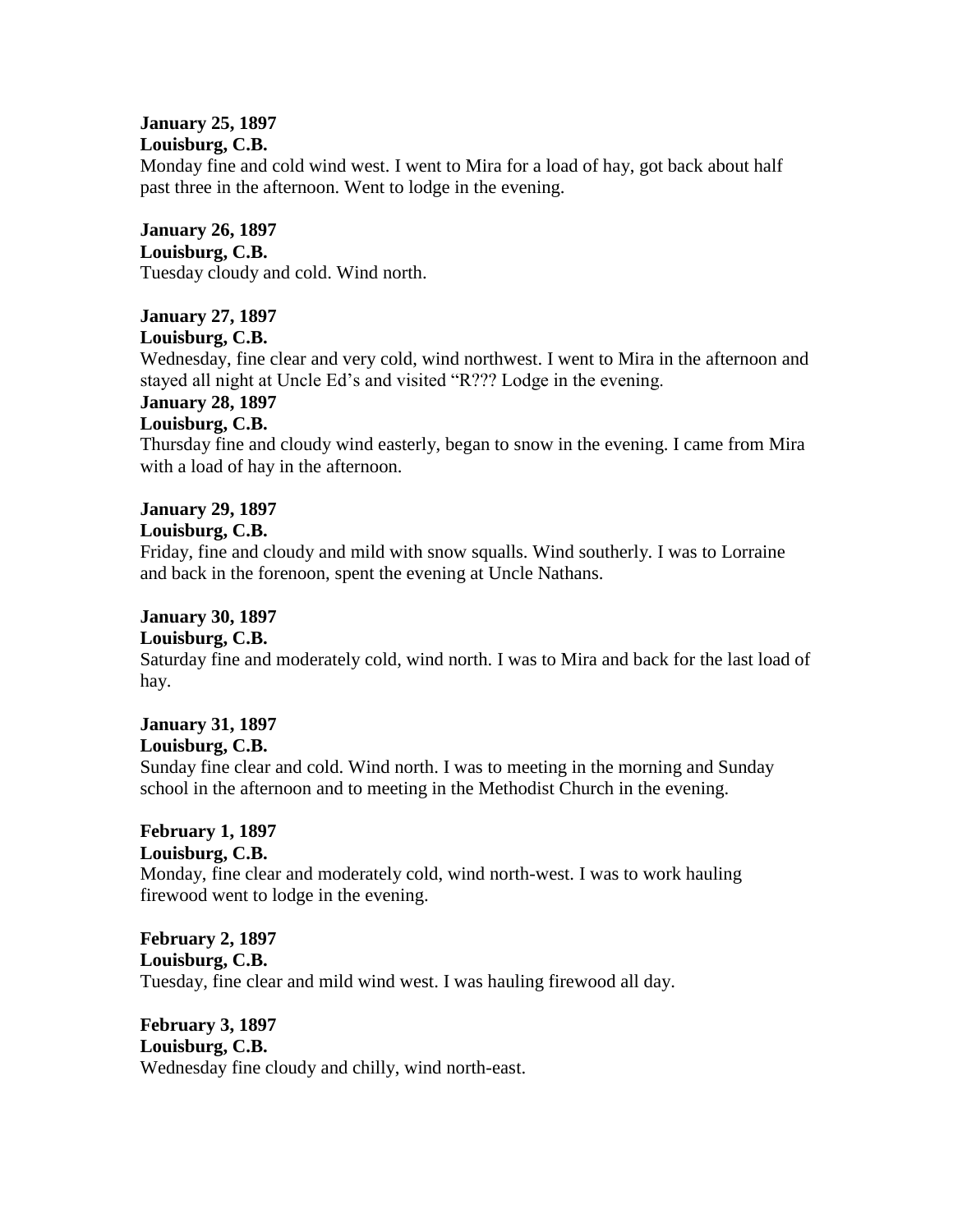#### **January 25, 1897 Louisburg, C.B.**

Monday fine and cold wind west. I went to Mira for a load of hay, got back about half past three in the afternoon. Went to lodge in the evening.

#### **January 26, 1897 Louisburg, C.B.**

Tuesday cloudy and cold. Wind north.

# **January 27, 1897**

**Louisburg, C.B.**

Wednesday, fine clear and very cold, wind northwest. I went to Mira in the afternoon and stayed all night at Uncle Ed's and visited "R??? Lodge in the evening.

# **January 28, 1897**

# **Louisburg, C.B.**

Thursday fine and cloudy wind easterly, began to snow in the evening. I came from Mira with a load of hay in the afternoon.

# **January 29, 1897**

## **Louisburg, C.B.**

Friday, fine and cloudy and mild with snow squalls. Wind southerly. I was to Lorraine and back in the forenoon, spent the evening at Uncle Nathans.

# **January 30, 1897**

# **Louisburg, C.B.**

Saturday fine and moderately cold, wind north. I was to Mira and back for the last load of hay.

#### **January 31, 1897 Louisburg, C.B.**

Sunday fine clear and cold. Wind north. I was to meeting in the morning and Sunday school in the afternoon and to meeting in the Methodist Church in the evening.

#### **February 1, 1897 Louisburg, C.B.**

Monday, fine clear and moderately cold, wind north-west. I was to work hauling firewood went to lodge in the evening.

## **February 2, 1897 Louisburg, C.B.** Tuesday, fine clear and mild wind west. I was hauling firewood all day.

## **February 3, 1897 Louisburg, C.B.** Wednesday fine cloudy and chilly, wind north-east.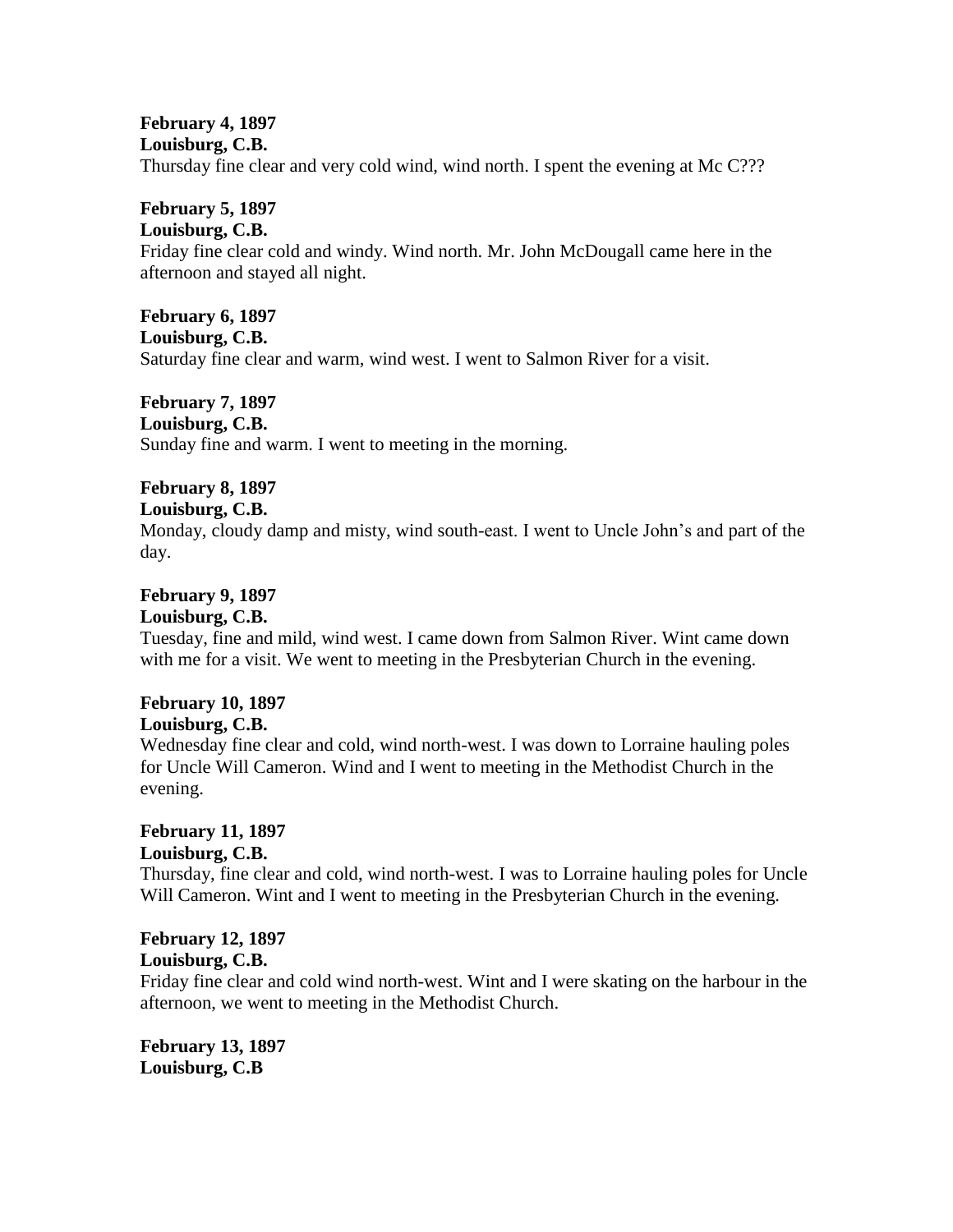# **February 4, 1897 Louisburg, C.B.**

Thursday fine clear and very cold wind, wind north. I spent the evening at Mc C???

## **February 5, 1897**

#### **Louisburg, C.B.**

Friday fine clear cold and windy. Wind north. Mr. John McDougall came here in the afternoon and stayed all night.

#### **February 6, 1897**

#### **Louisburg, C.B.**

Saturday fine clear and warm, wind west. I went to Salmon River for a visit.

# **February 7, 1897**

**Louisburg, C.B.**

Sunday fine and warm. I went to meeting in the morning.

# **February 8, 1897**

## **Louisburg, C.B.**

Monday, cloudy damp and misty, wind south-east. I went to Uncle John's and part of the day.

# **February 9, 1897**

#### **Louisburg, C.B.**

Tuesday, fine and mild, wind west. I came down from Salmon River. Wint came down with me for a visit. We went to meeting in the Presbyterian Church in the evening.

# **February 10, 1897**

#### **Louisburg, C.B.**

Wednesday fine clear and cold, wind north-west. I was down to Lorraine hauling poles for Uncle Will Cameron. Wind and I went to meeting in the Methodist Church in the evening.

#### **February 11, 1897 Louisburg, C.B.**

Thursday, fine clear and cold, wind north-west. I was to Lorraine hauling poles for Uncle Will Cameron. Wint and I went to meeting in the Presbyterian Church in the evening.

# **February 12, 1897 Louisburg, C.B.**

Friday fine clear and cold wind north-west. Wint and I were skating on the harbour in the afternoon, we went to meeting in the Methodist Church.

**February 13, 1897 Louisburg, C.B**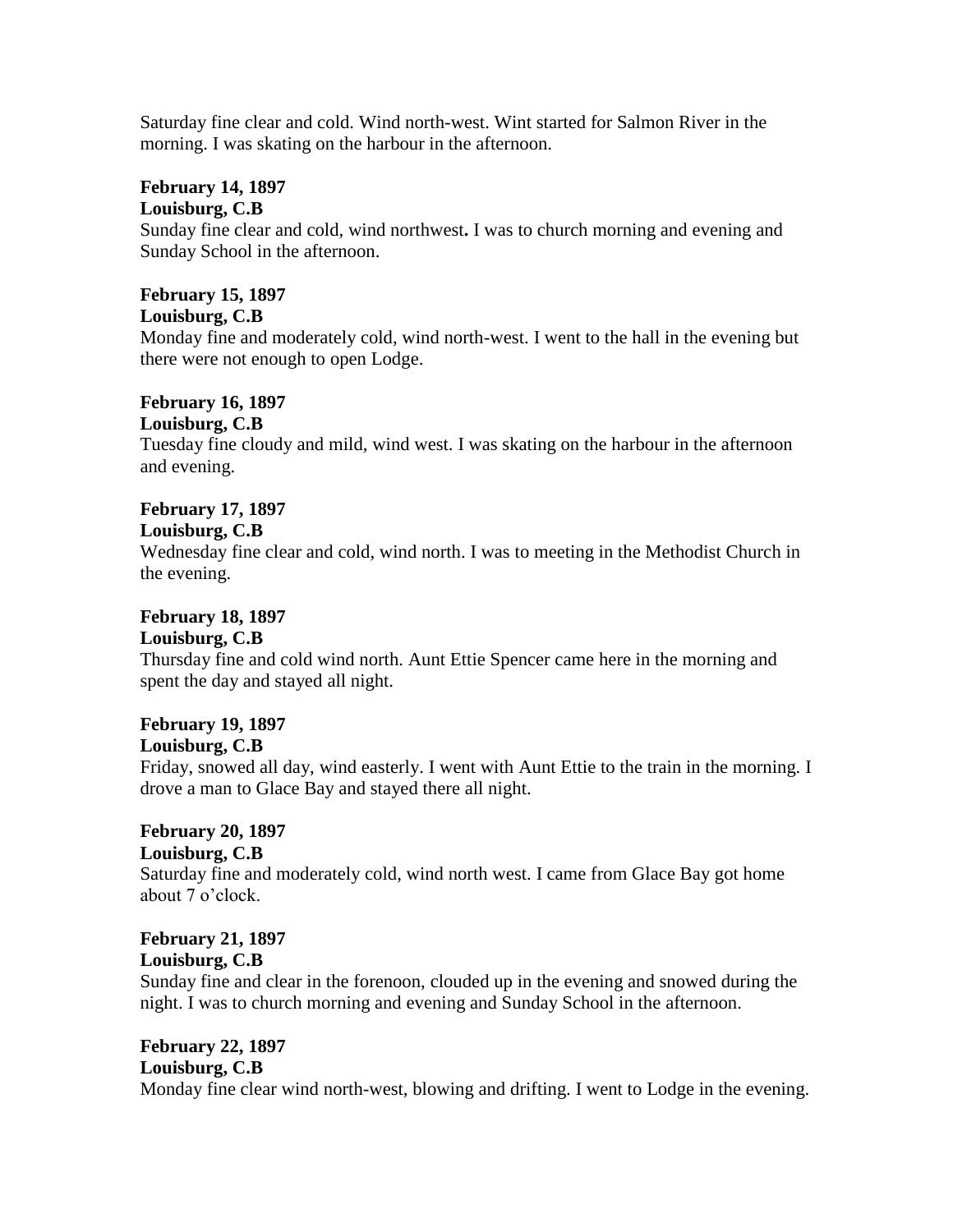Saturday fine clear and cold. Wind north-west. Wint started for Salmon River in the morning. I was skating on the harbour in the afternoon.

# **February 14, 1897**

**Louisburg, C.B**

Sunday fine clear and cold, wind northwest**.** I was to church morning and evening and Sunday School in the afternoon.

# **February 15, 1897**

**Louisburg, C.B**

Monday fine and moderately cold, wind north-west. I went to the hall in the evening but there were not enough to open Lodge.

# **February 16, 1897**

**Louisburg, C.B**

Tuesday fine cloudy and mild, wind west. I was skating on the harbour in the afternoon and evening.

# **February 17, 1897**

**Louisburg, C.B**

Wednesday fine clear and cold, wind north. I was to meeting in the Methodist Church in the evening.

# **February 18, 1897**

# **Louisburg, C.B**

Thursday fine and cold wind north. Aunt Ettie Spencer came here in the morning and spent the day and stayed all night.

# **February 19, 1897 Louisburg, C.B**

Friday, snowed all day, wind easterly. I went with Aunt Ettie to the train in the morning. I drove a man to Glace Bay and stayed there all night.

## **February 20, 1897 Louisburg, C.B**

Saturday fine and moderately cold, wind north west. I came from Glace Bay got home about 7 o'clock.

# **February 21, 1897 Louisburg, C.B**

Sunday fine and clear in the forenoon, clouded up in the evening and snowed during the night. I was to church morning and evening and Sunday School in the afternoon.

# **February 22, 1897 Louisburg, C.B**

Monday fine clear wind north-west, blowing and drifting. I went to Lodge in the evening.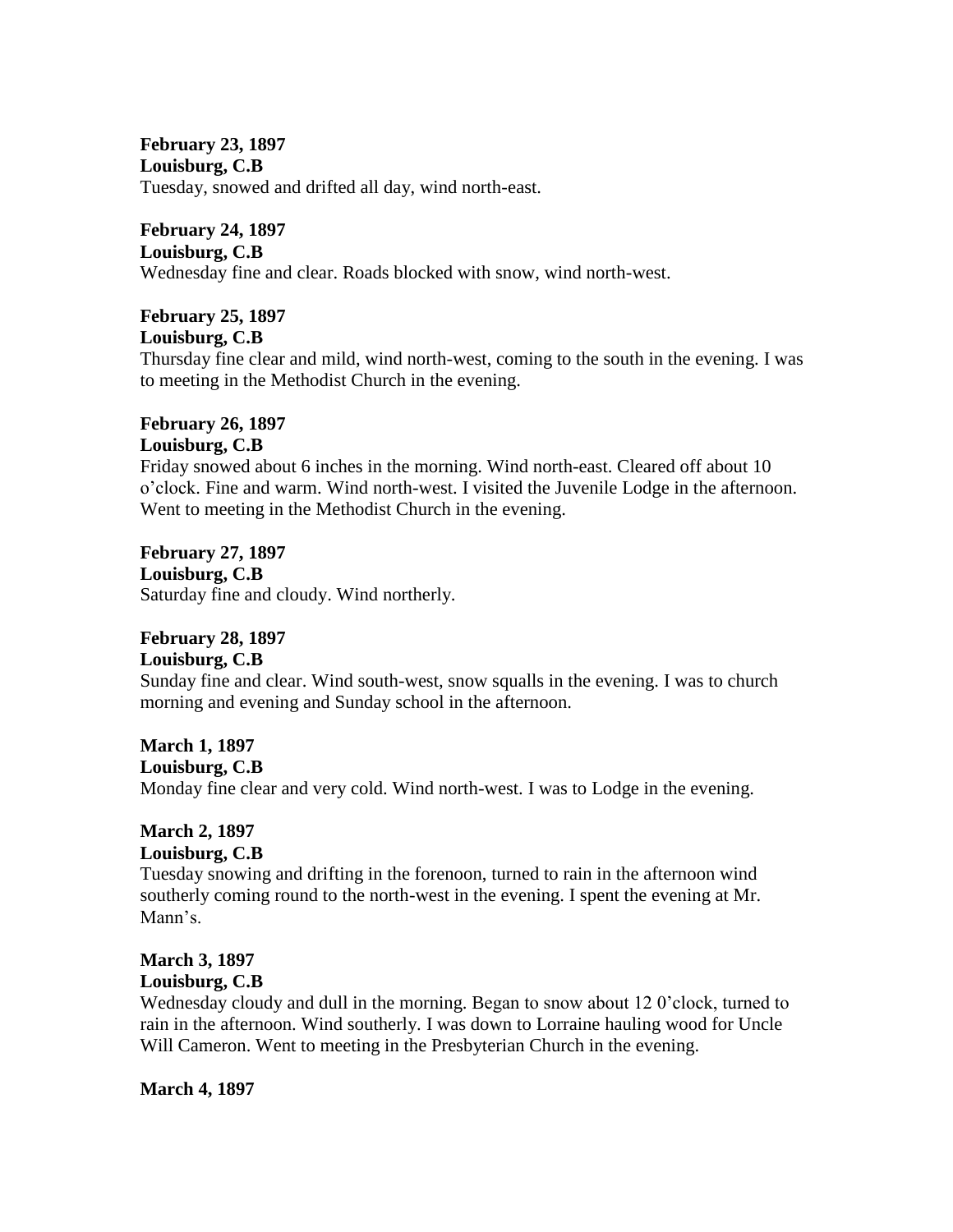**February 23, 1897 Louisburg, C.B** Tuesday, snowed and drifted all day, wind north-east.

**February 24, 1897 Louisburg, C.B** Wednesday fine and clear. Roads blocked with snow, wind north-west.

**February 25, 1897 Louisburg, C.B**

Thursday fine clear and mild, wind north-west, coming to the south in the evening. I was to meeting in the Methodist Church in the evening.

#### **February 26, 1897 Louisburg, C.B**

Friday snowed about 6 inches in the morning. Wind north-east. Cleared off about 10 o'clock. Fine and warm. Wind north-west. I visited the Juvenile Lodge in the afternoon. Went to meeting in the Methodist Church in the evening.

**February 27, 1897 Louisburg, C.B** Saturday fine and cloudy. Wind northerly.

# **February 28, 1897**

# **Louisburg, C.B**

Sunday fine and clear. Wind south-west, snow squalls in the evening. I was to church morning and evening and Sunday school in the afternoon.

**March 1, 1897**

**Louisburg, C.B**

Monday fine clear and very cold. Wind north-west. I was to Lodge in the evening.

# **March 2, 1897**

**Louisburg, C.B** Tuesday snowing and drifting in the forenoon, turned to rain in the afternoon wind southerly coming round to the north-west in the evening. I spent the evening at Mr. Mann's.

# **March 3, 1897 Louisburg, C.B**

Wednesday cloudy and dull in the morning. Began to snow about 12 0'clock, turned to rain in the afternoon. Wind southerly. I was down to Lorraine hauling wood for Uncle Will Cameron. Went to meeting in the Presbyterian Church in the evening.

**March 4, 1897**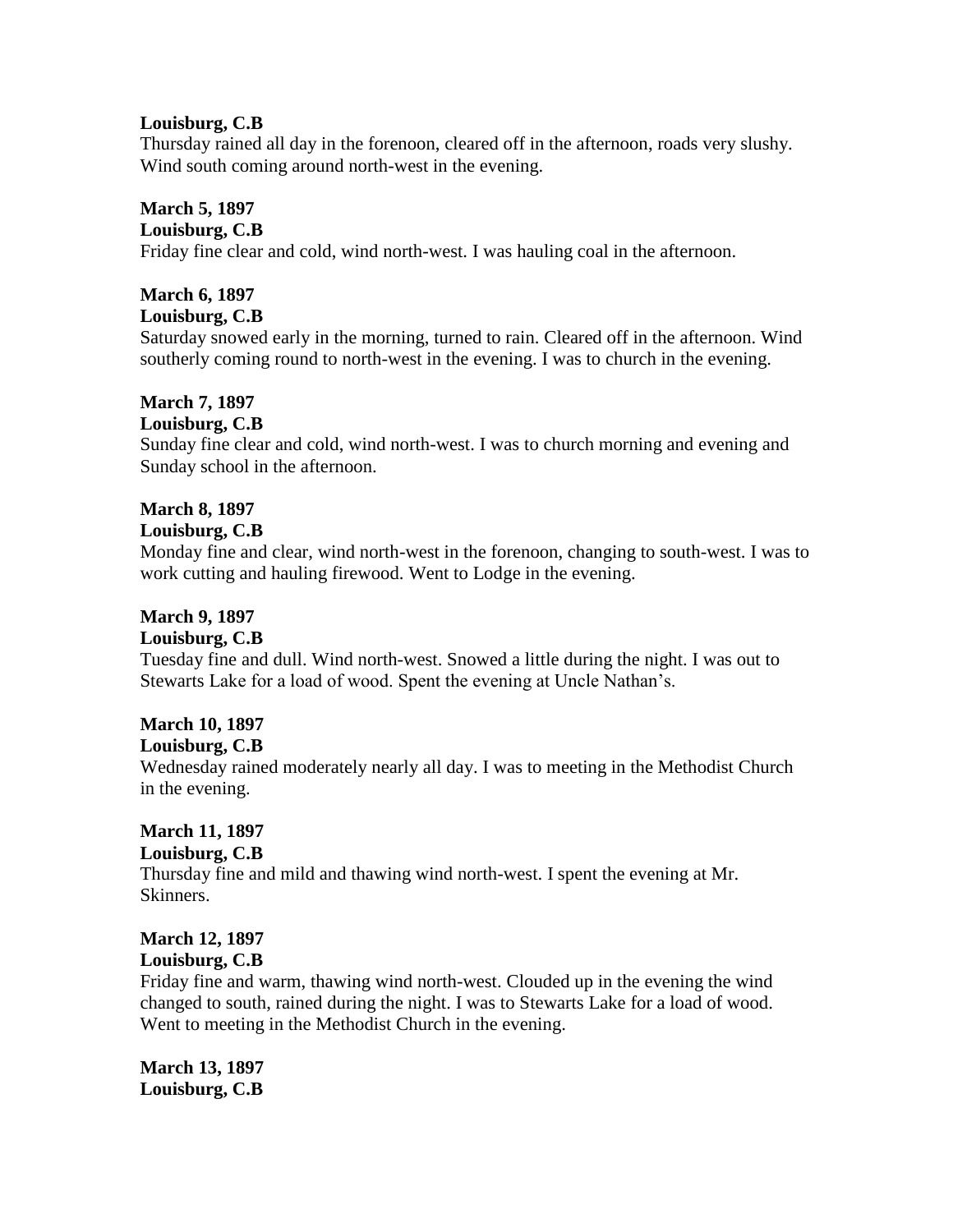## **Louisburg, C.B**

Thursday rained all day in the forenoon, cleared off in the afternoon, roads very slushy. Wind south coming around north-west in the evening.

## **March 5, 1897**

### **Louisburg, C.B**

Friday fine clear and cold, wind north-west. I was hauling coal in the afternoon.

# **March 6, 1897**

## **Louisburg, C.B**

Saturday snowed early in the morning, turned to rain. Cleared off in the afternoon. Wind southerly coming round to north-west in the evening. I was to church in the evening.

# **March 7, 1897**

#### **Louisburg, C.B**

Sunday fine clear and cold, wind north-west. I was to church morning and evening and Sunday school in the afternoon.

# **March 8, 1897**

#### **Louisburg, C.B**

Monday fine and clear, wind north-west in the forenoon, changing to south-west. I was to work cutting and hauling firewood. Went to Lodge in the evening.

# **March 9, 1897**

#### **Louisburg, C.B**

Tuesday fine and dull. Wind north-west. Snowed a little during the night. I was out to Stewarts Lake for a load of wood. Spent the evening at Uncle Nathan's.

# **March 10, 1897**

#### **Louisburg, C.B**

Wednesday rained moderately nearly all day. I was to meeting in the Methodist Church in the evening.

# **March 11, 1897**

# **Louisburg, C.B**

Thursday fine and mild and thawing wind north-west. I spent the evening at Mr. Skinners.

#### **March 12, 1897 Louisburg, C.B**

Friday fine and warm, thawing wind north-west. Clouded up in the evening the wind changed to south, rained during the night. I was to Stewarts Lake for a load of wood. Went to meeting in the Methodist Church in the evening.

**March 13, 1897 Louisburg, C.B**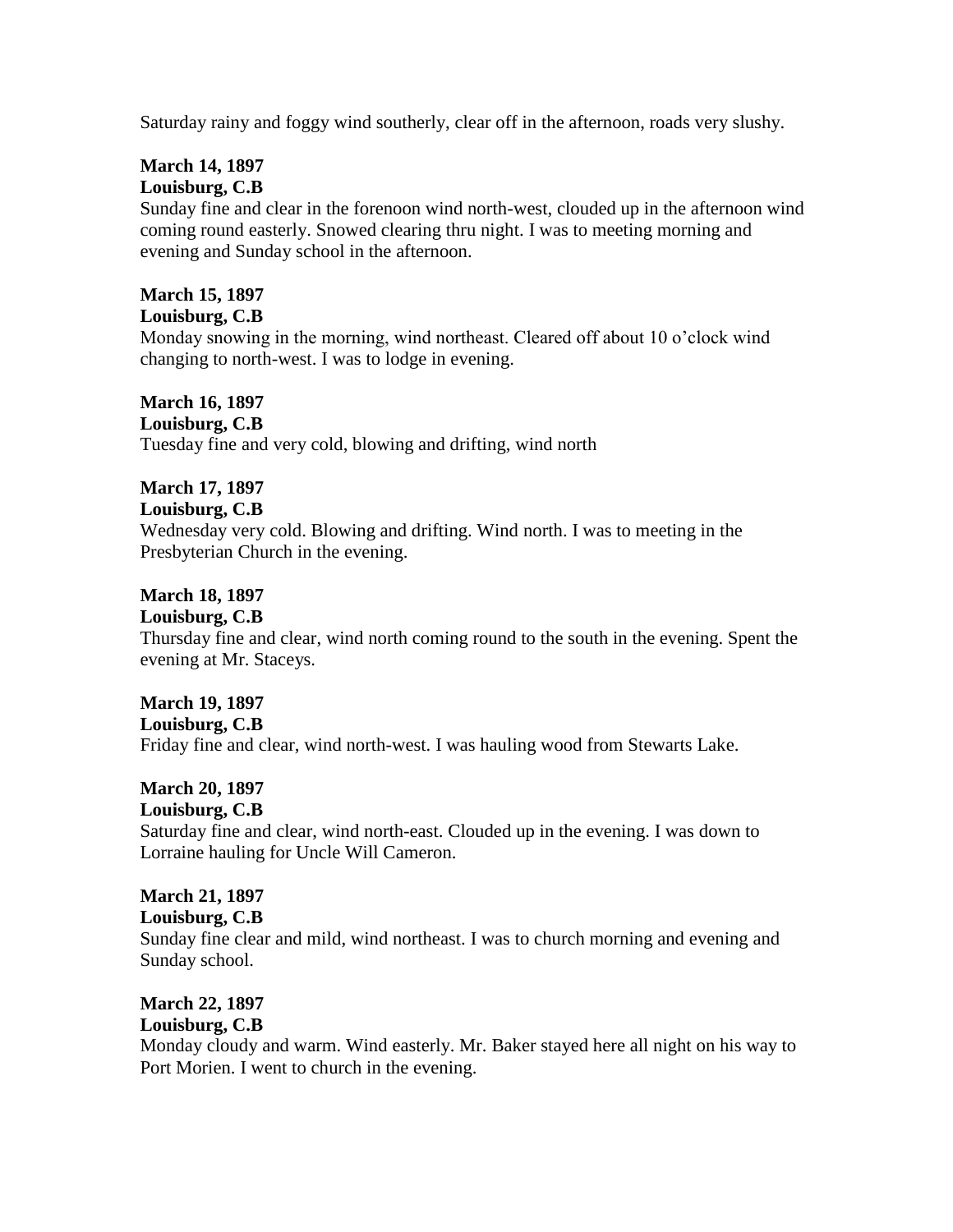Saturday rainy and foggy wind southerly, clear off in the afternoon, roads very slushy.

# **March 14, 1897 Louisburg, C.B**

Sunday fine and clear in the forenoon wind north-west, clouded up in the afternoon wind coming round easterly. Snowed clearing thru night. I was to meeting morning and evening and Sunday school in the afternoon.

# **March 15, 1897**

**Louisburg, C.B**

Monday snowing in the morning, wind northeast. Cleared off about 10 o'clock wind changing to north-west. I was to lodge in evening.

# **March 16, 1897**

**Louisburg, C.B**

Tuesday fine and very cold, blowing and drifting, wind north

# **March 17, 1897**

## **Louisburg, C.B**

Wednesday very cold. Blowing and drifting. Wind north. I was to meeting in the Presbyterian Church in the evening.

# **March 18, 1897**

#### **Louisburg, C.B**

Thursday fine and clear, wind north coming round to the south in the evening. Spent the evening at Mr. Staceys.

# **March 19, 1897**

**Louisburg, C.B**

Friday fine and clear, wind north-west. I was hauling wood from Stewarts Lake.

# **March 20, 1897**

#### **Louisburg, C.B**

Saturday fine and clear, wind north-east. Clouded up in the evening. I was down to Lorraine hauling for Uncle Will Cameron.

# **March 21, 1897**

#### **Louisburg, C.B**

Sunday fine clear and mild, wind northeast. I was to church morning and evening and Sunday school.

# **March 22, 1897**

# **Louisburg, C.B**

Monday cloudy and warm. Wind easterly. Mr. Baker stayed here all night on his way to Port Morien. I went to church in the evening.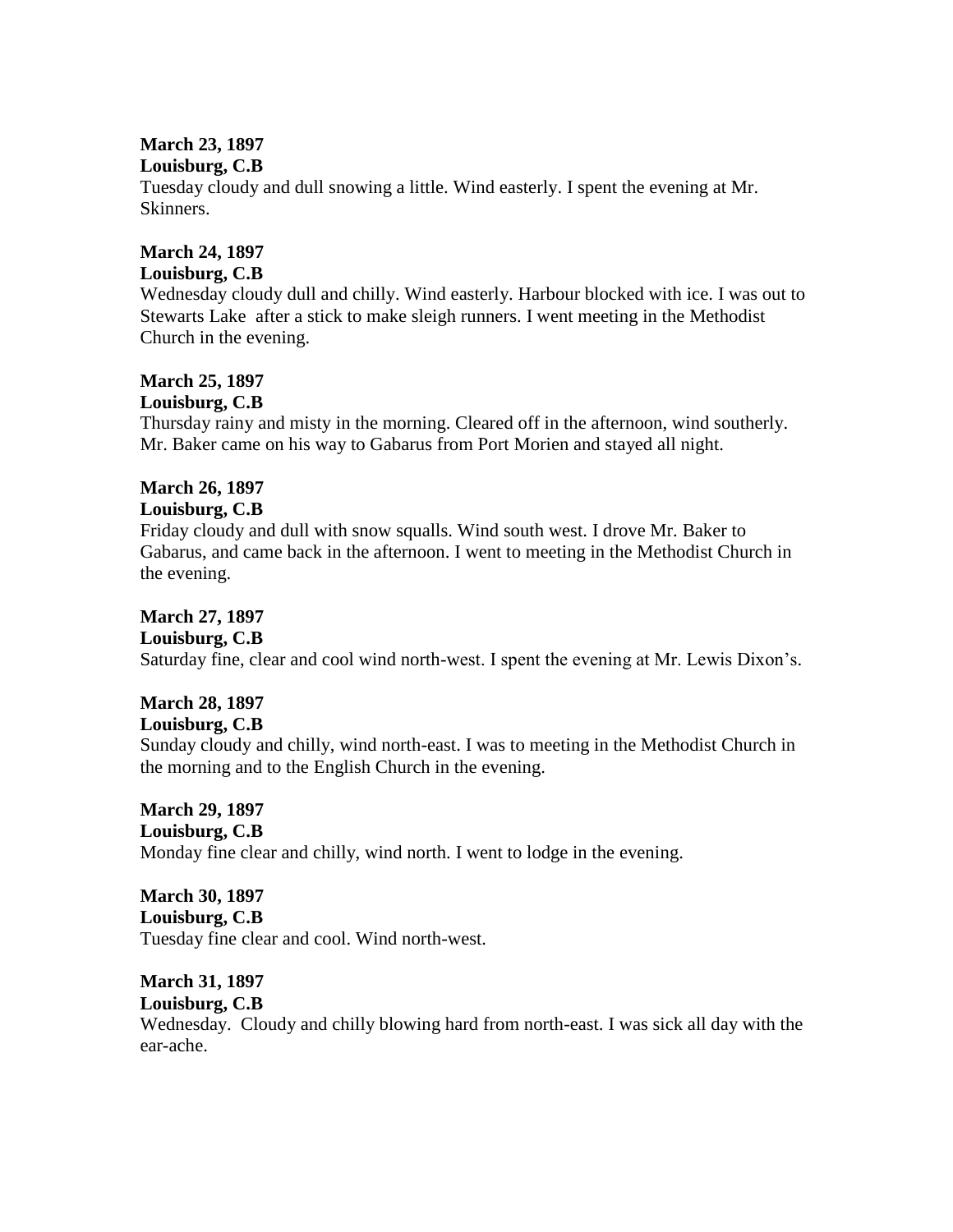# **March 23, 1897**

### **Louisburg, C.B**

Tuesday cloudy and dull snowing a little. Wind easterly. I spent the evening at Mr. Skinners.

## **March 24, 1897**

# **Louisburg, C.B**

Wednesday cloudy dull and chilly. Wind easterly. Harbour blocked with ice. I was out to Stewarts Lake after a stick to make sleigh runners. I went meeting in the Methodist Church in the evening.

# **March 25, 1897**

## **Louisburg, C.B**

Thursday rainy and misty in the morning. Cleared off in the afternoon, wind southerly. Mr. Baker came on his way to Gabarus from Port Morien and stayed all night.

# **March 26, 1897**

## **Louisburg, C.B**

Friday cloudy and dull with snow squalls. Wind south west. I drove Mr. Baker to Gabarus, and came back in the afternoon. I went to meeting in the Methodist Church in the evening.

## **March 27, 1897**

### **Louisburg, C.B**

Saturday fine, clear and cool wind north-west. I spent the evening at Mr. Lewis Dixon's.

# **March 28, 1897**

#### **Louisburg, C.B**

Sunday cloudy and chilly, wind north-east. I was to meeting in the Methodist Church in the morning and to the English Church in the evening.

# **March 29, 1897**

#### **Louisburg, C.B**

Monday fine clear and chilly, wind north. I went to lodge in the evening.

# **March 30, 1897 Louisburg, C.B**

Tuesday fine clear and cool. Wind north-west.

## **March 31, 1897**

#### **Louisburg, C.B**

Wednesday. Cloudy and chilly blowing hard from north-east. I was sick all day with the ear-ache.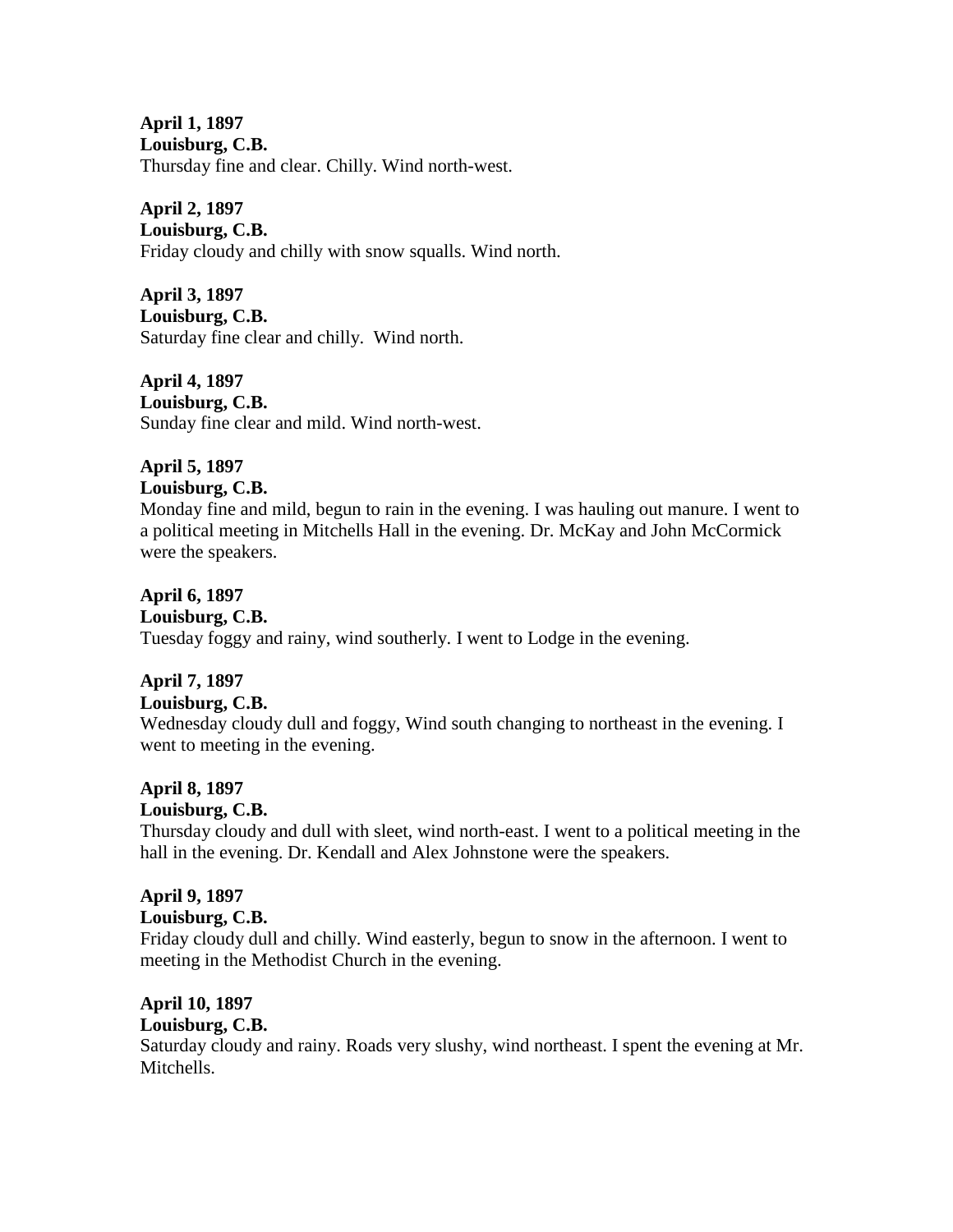**April 1, 1897 Louisburg, C.B.** Thursday fine and clear. Chilly. Wind north-west.

**April 2, 1897**

**Louisburg, C.B.** Friday cloudy and chilly with snow squalls. Wind north.

**April 3, 1897 Louisburg, C.B.** Saturday fine clear and chilly. Wind north.

**April 4, 1897 Louisburg, C.B.** Sunday fine clear and mild. Wind north-west.

### **April 5, 1897 Louisburg, C.B.**

Monday fine and mild, begun to rain in the evening. I was hauling out manure. I went to a political meeting in Mitchells Hall in the evening. Dr. McKay and John McCormick were the speakers.

**April 6, 1897 Louisburg, C.B.** Tuesday foggy and rainy, wind southerly. I went to Lodge in the evening.

# **April 7, 1897**

# **Louisburg, C.B.**

Wednesday cloudy dull and foggy, Wind south changing to northeast in the evening. I went to meeting in the evening.

# **April 8, 1897**

# **Louisburg, C.B.**

Thursday cloudy and dull with sleet, wind north-east. I went to a political meeting in the hall in the evening. Dr. Kendall and Alex Johnstone were the speakers.

# **April 9, 1897**

# **Louisburg, C.B.**

Friday cloudy dull and chilly. Wind easterly, begun to snow in the afternoon. I went to meeting in the Methodist Church in the evening.

# **April 10, 1897**

#### **Louisburg, C.B.**

Saturday cloudy and rainy. Roads very slushy, wind northeast. I spent the evening at Mr. Mitchells.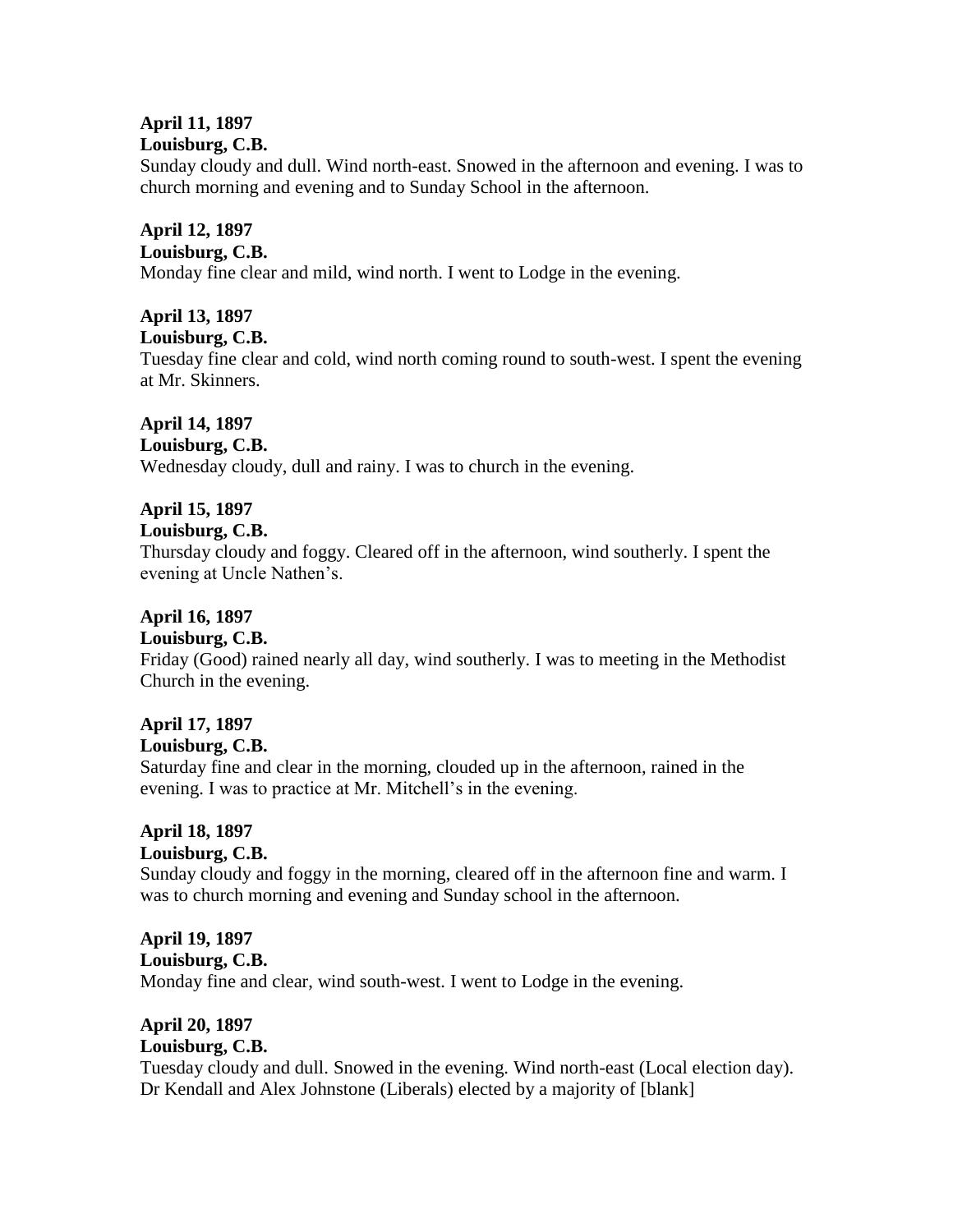#### **April 11, 1897 Louisburg, C.B.**

Sunday cloudy and dull. Wind north-east. Snowed in the afternoon and evening. I was to church morning and evening and to Sunday School in the afternoon.

# **April 12, 1897**

# **Louisburg, C.B.**

Monday fine clear and mild, wind north. I went to Lodge in the evening.

# **April 13, 1897**

#### **Louisburg, C.B.**

Tuesday fine clear and cold, wind north coming round to south-west. I spent the evening at Mr. Skinners.

# **April 14, 1897**

## **Louisburg, C.B.**

Wednesday cloudy, dull and rainy. I was to church in the evening.

# **April 15, 1897**

## **Louisburg, C.B.**

Thursday cloudy and foggy. Cleared off in the afternoon, wind southerly. I spent the evening at Uncle Nathen's.

# **April 16, 1897**

# **Louisburg, C.B.**

Friday (Good) rained nearly all day, wind southerly. I was to meeting in the Methodist Church in the evening.

# **April 17, 1897**

#### **Louisburg, C.B.**

Saturday fine and clear in the morning, clouded up in the afternoon, rained in the evening. I was to practice at Mr. Mitchell's in the evening.

# **April 18, 1897**

# **Louisburg, C.B.**

Sunday cloudy and foggy in the morning, cleared off in the afternoon fine and warm. I was to church morning and evening and Sunday school in the afternoon.

#### **April 19, 1897 Louisburg, C.B.**

Monday fine and clear, wind south-west. I went to Lodge in the evening.

#### **April 20, 1897 Louisburg, C.B.**

Tuesday cloudy and dull. Snowed in the evening. Wind north-east (Local election day). Dr Kendall and Alex Johnstone (Liberals) elected by a majority of [blank]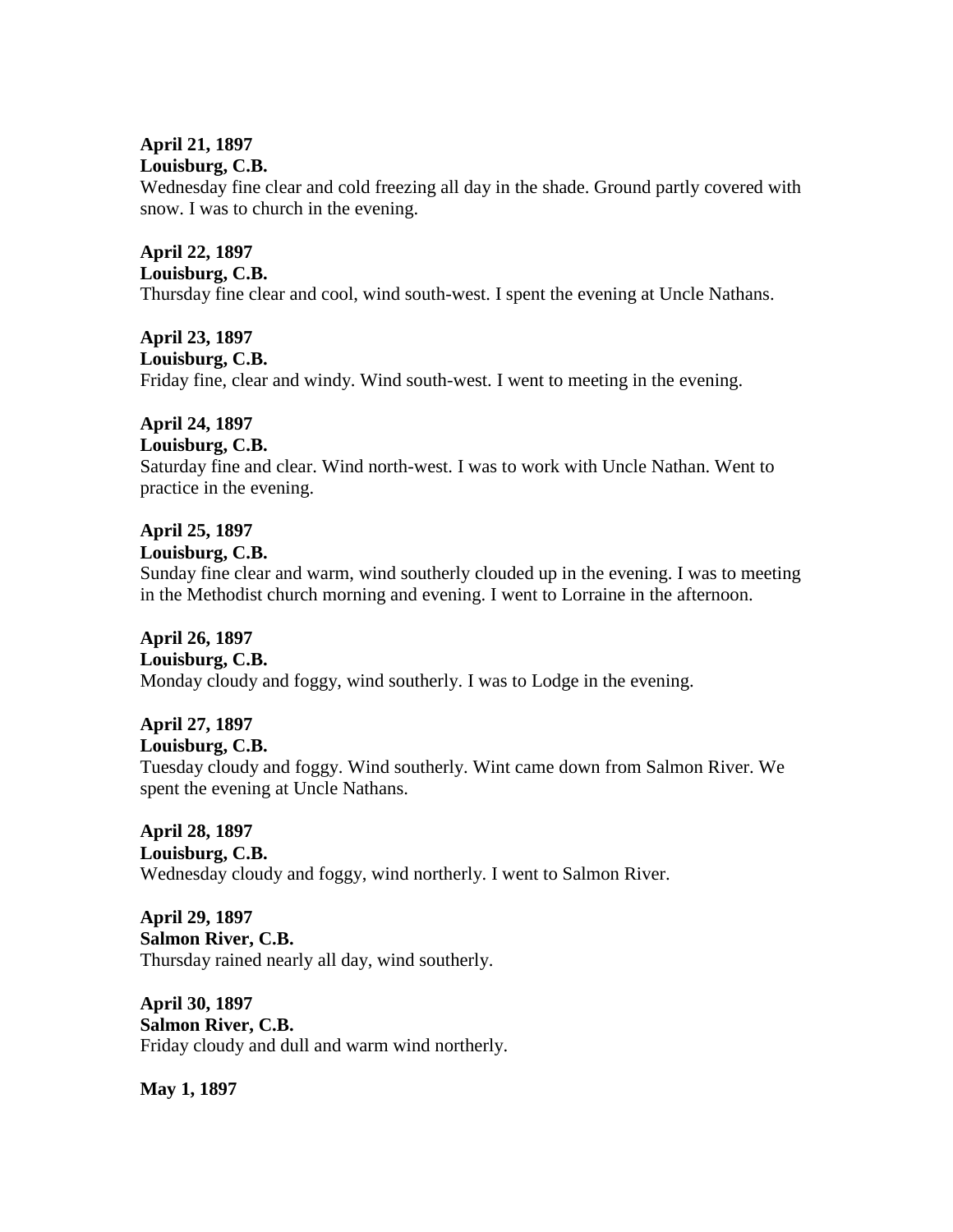# **April 21, 1897**

# **Louisburg, C.B.**

Wednesday fine clear and cold freezing all day in the shade. Ground partly covered with snow. I was to church in the evening.

## **April 22, 1897 Louisburg, C.B.**

Thursday fine clear and cool, wind south-west. I spent the evening at Uncle Nathans.

# **April 23, 1897 Louisburg, C.B.** Friday fine, clear and windy. Wind south-west. I went to meeting in the evening.

# **April 24, 1897**

## **Louisburg, C.B.**

Saturday fine and clear. Wind north-west. I was to work with Uncle Nathan. Went to practice in the evening.

# **April 25, 1897**

#### **Louisburg, C.B.**

Sunday fine clear and warm, wind southerly clouded up in the evening. I was to meeting in the Methodist church morning and evening. I went to Lorraine in the afternoon.

#### **April 26, 1897 Louisburg, C.B.**

Monday cloudy and foggy, wind southerly. I was to Lodge in the evening.

# **April 27, 1897**

**Louisburg, C.B.**

Tuesday cloudy and foggy. Wind southerly. Wint came down from Salmon River. We spent the evening at Uncle Nathans.

#### **April 28, 1897 Louisburg, C.B.**

Wednesday cloudy and foggy, wind northerly. I went to Salmon River.

#### **April 29, 1897 Salmon River, C.B.** Thursday rained nearly all day, wind southerly.

**April 30, 1897 Salmon River, C.B.** Friday cloudy and dull and warm wind northerly.

**May 1, 1897**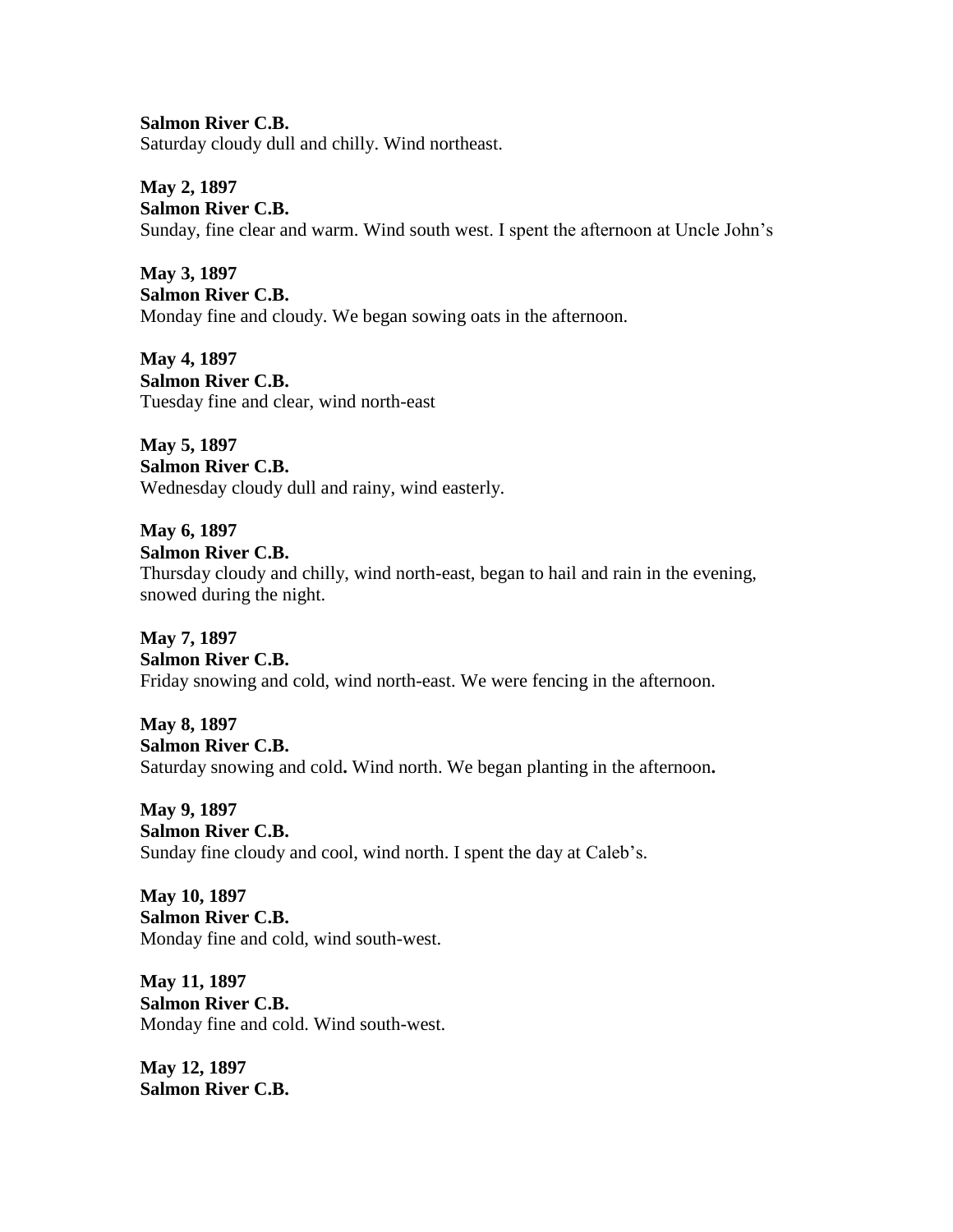**Salmon River C.B.** Saturday cloudy dull and chilly. Wind northeast.

**May 2, 1897 Salmon River C.B.** Sunday, fine clear and warm. Wind south west. I spent the afternoon at Uncle John's

**May 3, 1897 Salmon River C.B.** Monday fine and cloudy. We began sowing oats in the afternoon.

**May 4, 1897 Salmon River C.B.** Tuesday fine and clear, wind north-east

**May 5, 1897 Salmon River C.B.** Wednesday cloudy dull and rainy, wind easterly.

**May 6, 1897 Salmon River C.B.** Thursday cloudy and chilly, wind north-east, began to hail and rain in the evening, snowed during the night.

**May 7, 1897 Salmon River C.B.** Friday snowing and cold, wind north-east. We were fencing in the afternoon.

**May 8, 1897 Salmon River C.B.** Saturday snowing and cold**.** Wind north. We began planting in the afternoon**.**

**May 9, 1897 Salmon River C.B.** Sunday fine cloudy and cool, wind north. I spent the day at Caleb's.

**May 10, 1897 Salmon River C.B.** Monday fine and cold, wind south-west.

**May 11, 1897 Salmon River C.B.** Monday fine and cold. Wind south-west.

**May 12, 1897 Salmon River C.B.**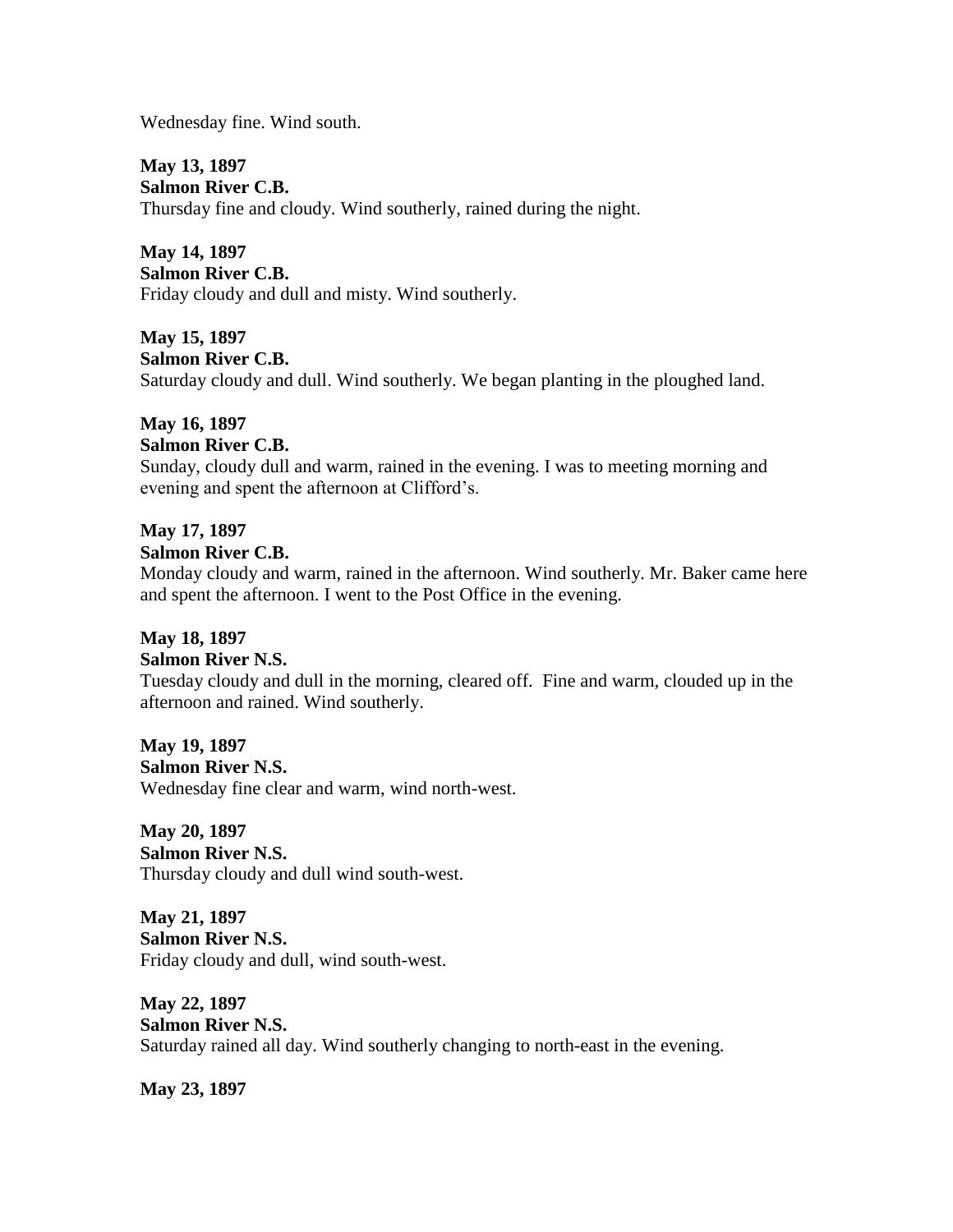Wednesday fine. Wind south.

**May 13, 1897 Salmon River C.B.** Thursday fine and cloudy. Wind southerly, rained during the night.

**May 14, 1897 Salmon River C.B.** Friday cloudy and dull and misty. Wind southerly.

**May 15, 1897 Salmon River C.B.** Saturday cloudy and dull. Wind southerly. We began planting in the ploughed land.

## **May 16, 1897**

#### **Salmon River C.B.**

Sunday, cloudy dull and warm, rained in the evening. I was to meeting morning and evening and spent the afternoon at Clifford's.

#### **May 17, 1897 Salmon River C.B.**

Monday cloudy and warm, rained in the afternoon. Wind southerly. Mr. Baker came here and spent the afternoon. I went to the Post Office in the evening.

# **May 18, 1897**

#### **Salmon River N.S.**

Tuesday cloudy and dull in the morning, cleared off. Fine and warm, clouded up in the afternoon and rained. Wind southerly.

**May 19, 1897 Salmon River N.S.** Wednesday fine clear and warm, wind north-west.

**May 20, 1897 Salmon River N.S.** Thursday cloudy and dull wind south-west.

**May 21, 1897 Salmon River N.S.** Friday cloudy and dull, wind south-west.

**May 22, 1897 Salmon River N.S.** Saturday rained all day. Wind southerly changing to north-east in the evening.

**May 23, 1897**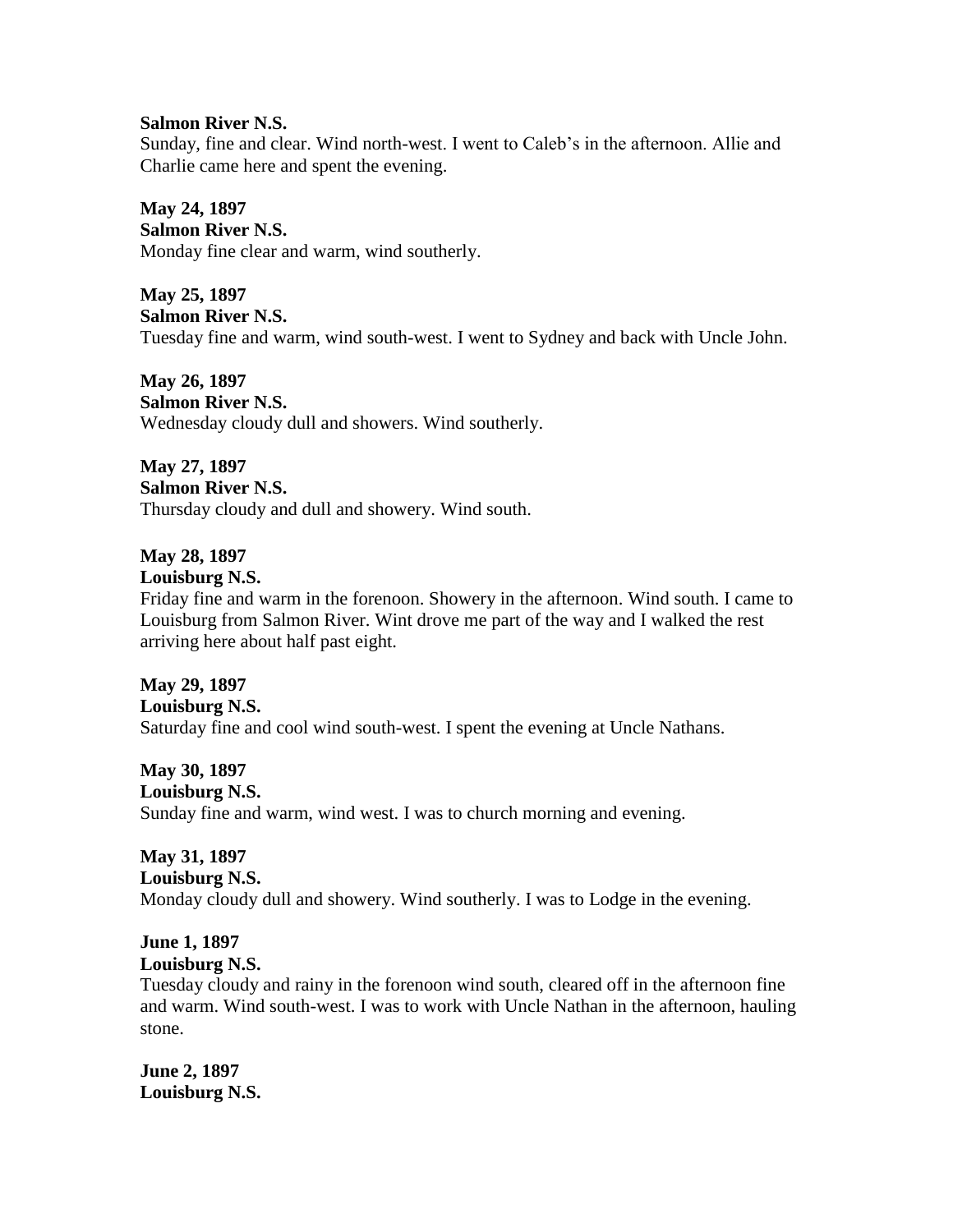#### **Salmon River N.S.**

Sunday, fine and clear. Wind north-west. I went to Caleb's in the afternoon. Allie and Charlie came here and spent the evening.

**May 24, 1897 Salmon River N.S.** Monday fine clear and warm, wind southerly.

**May 25, 1897 Salmon River N.S.** Tuesday fine and warm, wind south-west. I went to Sydney and back with Uncle John.

**May 26, 1897 Salmon River N.S.** Wednesday cloudy dull and showers. Wind southerly.

**May 27, 1897 Salmon River N.S.** Thursday cloudy and dull and showery. Wind south.

**May 28, 1897 Louisburg N.S.**

Friday fine and warm in the forenoon. Showery in the afternoon. Wind south. I came to Louisburg from Salmon River. Wint drove me part of the way and I walked the rest arriving here about half past eight.

**May 29, 1897 Louisburg N.S.** Saturday fine and cool wind south-west. I spent the evening at Uncle Nathans.

**May 30, 1897 Louisburg N.S.** Sunday fine and warm, wind west. I was to church morning and evening.

**May 31, 1897 Louisburg N.S.** Monday cloudy dull and showery. Wind southerly. I was to Lodge in the evening.

**June 1, 1897 Louisburg N.S.**

Tuesday cloudy and rainy in the forenoon wind south, cleared off in the afternoon fine and warm. Wind south-west. I was to work with Uncle Nathan in the afternoon, hauling stone.

**June 2, 1897 Louisburg N.S.**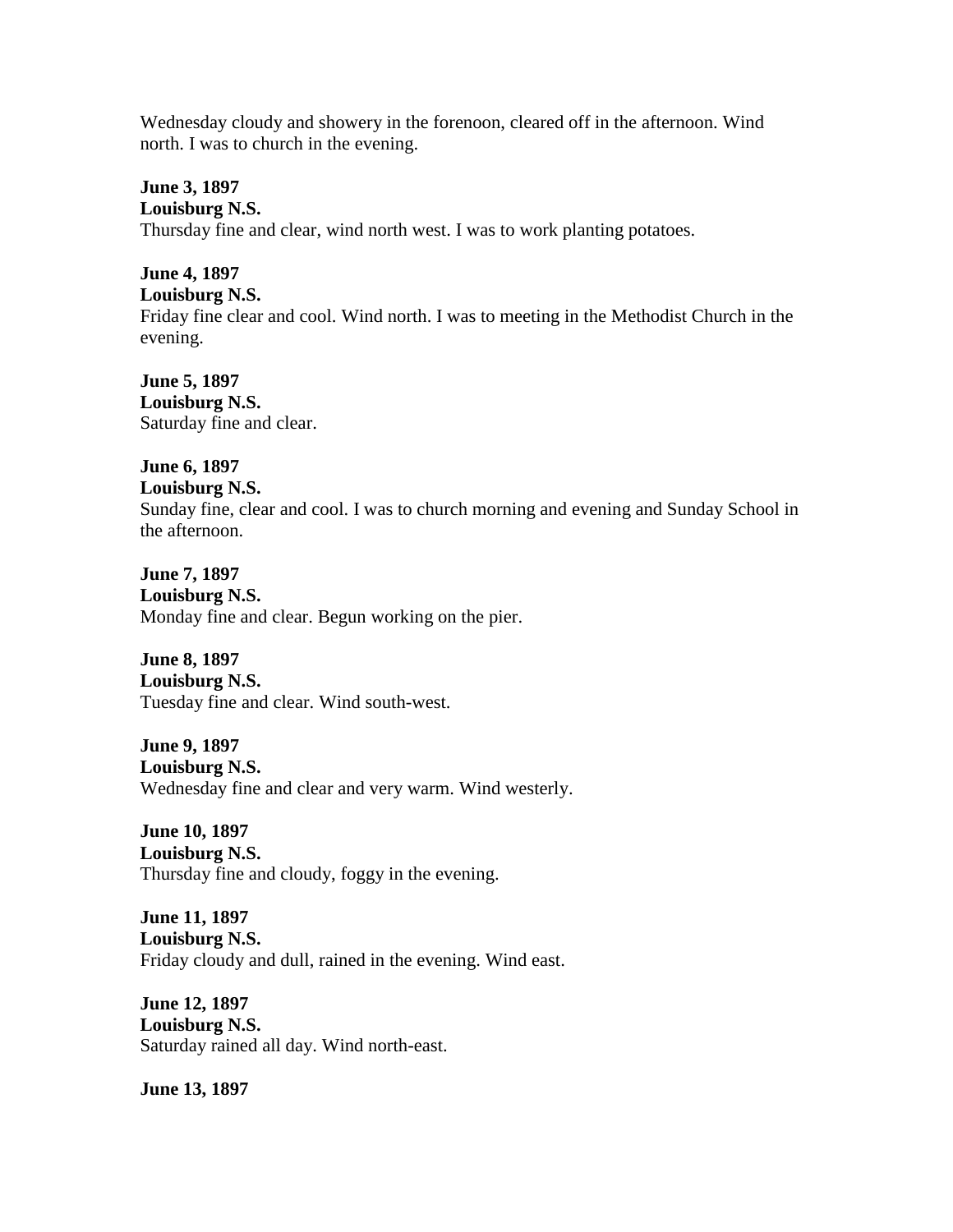Wednesday cloudy and showery in the forenoon, cleared off in the afternoon. Wind north. I was to church in the evening.

**June 3, 1897 Louisburg N.S.** Thursday fine and clear, wind north west. I was to work planting potatoes.

**June 4, 1897 Louisburg N.S.** Friday fine clear and cool. Wind north. I was to meeting in the Methodist Church in the evening.

**June 5, 1897 Louisburg N.S.** Saturday fine and clear.

**June 6, 1897 Louisburg N.S.** Sunday fine, clear and cool. I was to church morning and evening and Sunday School in the afternoon.

**June 7, 1897 Louisburg N.S.** Monday fine and clear. Begun working on the pier.

**June 8, 1897 Louisburg N.S.** Tuesday fine and clear. Wind south-west.

**June 9, 1897 Louisburg N.S.** Wednesday fine and clear and very warm. Wind westerly.

**June 10, 1897 Louisburg N.S.** Thursday fine and cloudy, foggy in the evening.

**June 11, 1897 Louisburg N.S.** Friday cloudy and dull, rained in the evening. Wind east.

**June 12, 1897 Louisburg N.S.** Saturday rained all day. Wind north-east.

**June 13, 1897**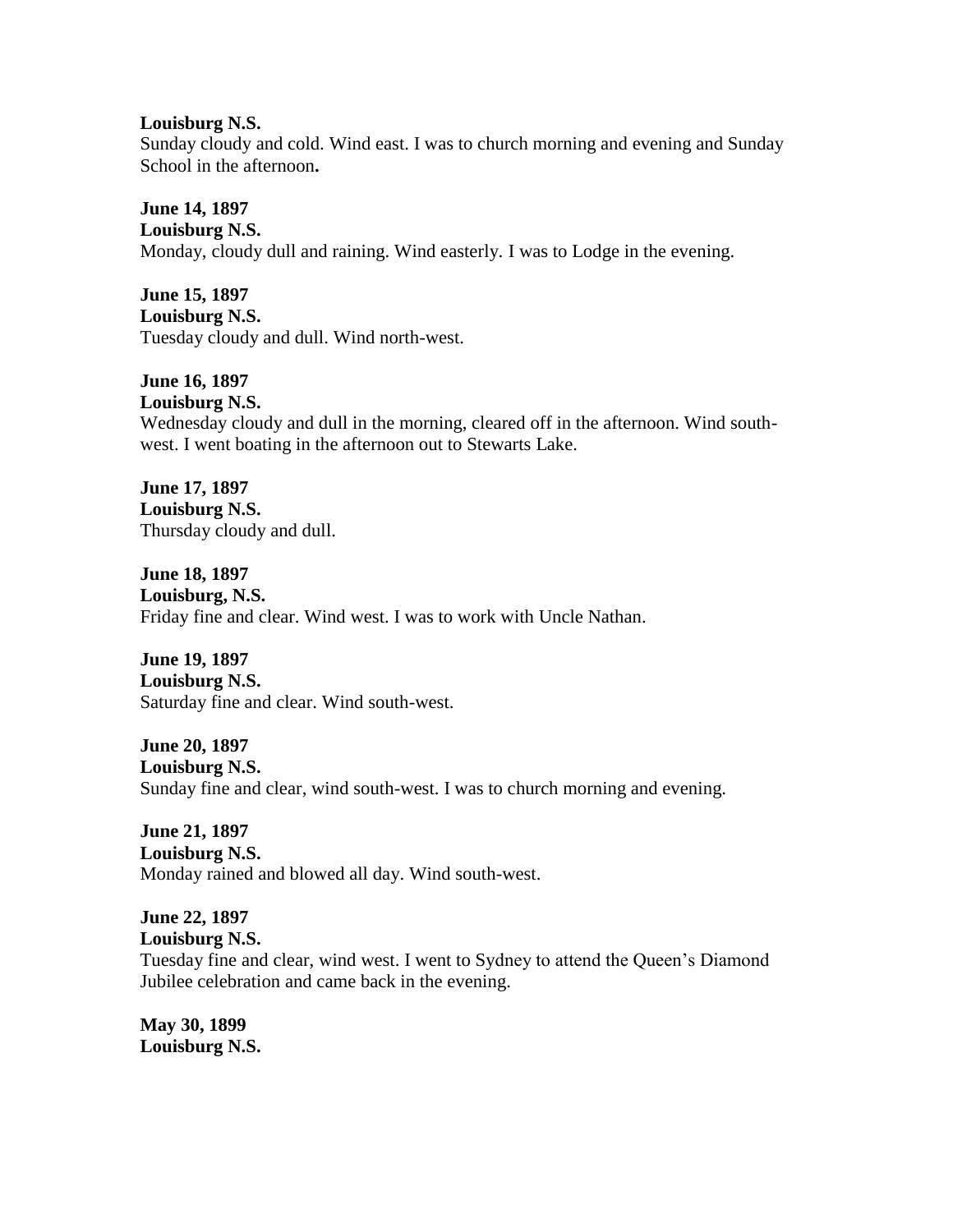#### **Louisburg N.S.**

Sunday cloudy and cold. Wind east. I was to church morning and evening and Sunday School in the afternoon**.**

**June 14, 1897 Louisburg N.S.** Monday, cloudy dull and raining. Wind easterly. I was to Lodge in the evening.

**June 15, 1897 Louisburg N.S.** Tuesday cloudy and dull. Wind north-west.

**June 16, 1897 Louisburg N.S.** Wednesday cloudy and dull in the morning, cleared off in the afternoon. Wind southwest. I went boating in the afternoon out to Stewarts Lake.

**June 17, 1897 Louisburg N.S.** Thursday cloudy and dull.

**June 18, 1897 Louisburg, N.S.** Friday fine and clear. Wind west. I was to work with Uncle Nathan.

**June 19, 1897 Louisburg N.S.** Saturday fine and clear. Wind south-west.

**June 20, 1897 Louisburg N.S.** Sunday fine and clear, wind south-west. I was to church morning and evening.

**June 21, 1897 Louisburg N.S.** Monday rained and blowed all day. Wind south-west.

**June 22, 1897 Louisburg N.S.** Tuesday fine and clear, wind west. I went to Sydney to attend the Queen's Diamond Jubilee celebration and came back in the evening.

**May 30, 1899 Louisburg N.S.**